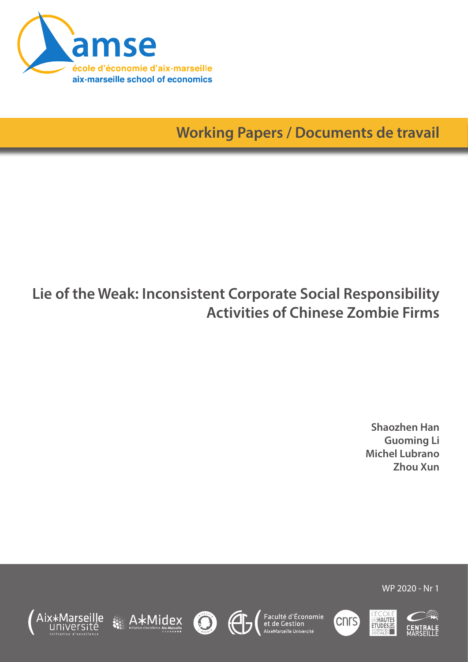

**Working Papers / Documents de travail**

# **Lie of the Weak: Inconsistent Corporate Social Responsibility Activities of Chinese Zombie Firms**

**Shaozhen Han Guoming Li Michel Lubrano Zhou Xun**

WP 2020 - Nr 1











Faculté d'Économie<br>et de Gestion<br><sup>Aix\*Marseille Université</sup>



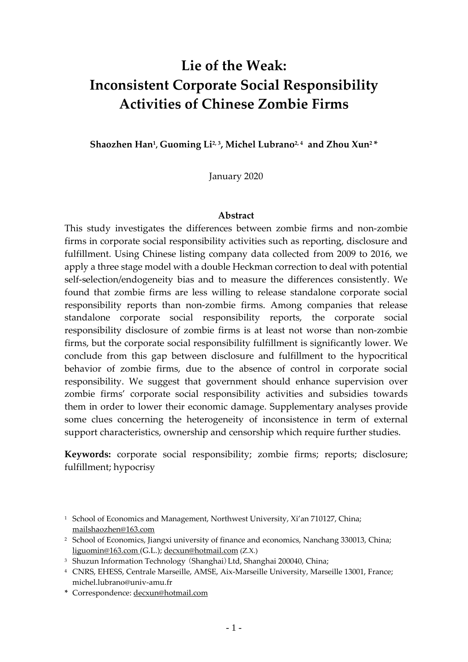## **Lie of the Weak: Inconsistent Corporate Social Responsibility Activities of Chinese Zombie Firms**

**Shaozhen Han1, Guoming Li2, 3, Michel Lubrano2, 4 and Zhou Xun2 \***

January 2020

## **Abstract**

This study investigates the differences between zombie firms and non-zombie firms in corporate social responsibility activities such as reporting, disclosure and fulfillment. Using Chinese listing company data collected from 2009 to 2016, we apply a three stage model with a double Heckman correction to deal with potential self-selection/endogeneity bias and to measure the differences consistently. We found that zombie firms are less willing to release standalone corporate social responsibility reports than non-zombie firms. Among companies that release standalone corporate social responsibility reports, the corporate social responsibility disclosure of zombie firms is at least not worse than non-zombie firms, but the corporate social responsibility fulfillment is significantly lower. We conclude from this gap between disclosure and fulfillment to the hypocritical behavior of zombie firms, due to the absence of control in corporate social responsibility. We suggest that government should enhance supervision over zombie firms' corporate social responsibility activities and subsidies towards them in order to lower their economic damage. Supplementary analyses provide some clues concerning the heterogeneity of inconsistence in term of external support characteristics, ownership and censorship which require further studies.

**Keywords:** corporate social responsibility; zombie firms; reports; disclosure; fulfillment; hypocrisy

**\*** Correspondence: decxun@hotmail.com

<sup>&</sup>lt;sup>1</sup> School of Economics and Management, Northwest University, Xi'an 710127, China; mailshaozhen@163.com

<sup>&</sup>lt;sup>2</sup> School of Economics, Jiangxi university of finance and economics, Nanchang 330013, China; liguomin@163.com (G.L.); decxun@hotmail.com (Z.X.)

<sup>&</sup>lt;sup>3</sup> Shuzun Information Technology (Shanghai) Ltd, Shanghai 200040, China;

<sup>4</sup> CNRS, EHESS, Centrale Marseille, AMSE, Aix-Marseille University, Marseille 13001, France; michel.lubrano@univ-amu.fr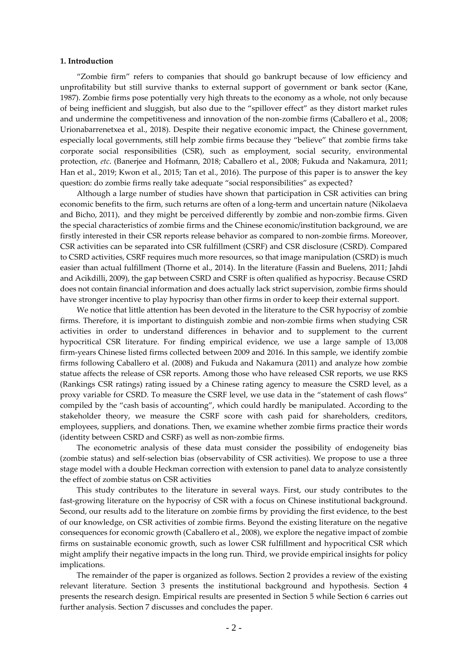## **1. Introduction**

"Zombie firm" refers to companies that should go bankrupt because of low efficiency and unprofitability but still survive thanks to external support of government or bank sector (Kane, 1987). Zombie firms pose potentially very high threats to the economy as a whole, not only because of being inefficient and sluggish, but also due to the "spillover effect" as they distort market rules and undermine the competitiveness and innovation of the non-zombie firms (Caballero et al., 2008; Urionabarrenetxea et al., 2018). Despite their negative economic impact, the Chinese government, especially local governments, still help zombie firms because they "believe" that zombie firms take corporate social responsibilities (CSR), such as employment, social security, environmental protection, *etc*. (Banerjee and Hofmann, 2018; Caballero et al., 2008; Fukuda and Nakamura, 2011; Han et al., 2019; Kwon et al., 2015; Tan et al., 2016). The purpose of this paper is to answer the key question: do zombie firms really take adequate "social responsibilities" as expected?

Although a large number of studies have shown that participation in CSR activities can bring economic benefits to the firm, such returns are often of a long-term and uncertain nature (Nikolaeva and Bicho, 2011), and they might be perceived differently by zombie and non-zombie firms. Given the special characteristics of zombie firms and the Chinese economic/institution background, we are firstly interested in their CSR reports release behavior as compared to non-zombie firms. Moreover, CSR activities can be separated into CSR fulfillment (CSRF) and CSR disclosure (CSRD). Compared to CSRD activities, CSRF requires much more resources, so that image manipulation (CSRD) is much easier than actual fulfillment (Thorne et al., 2014). In the literature (Fassin and Buelens, 2011; Jahdi and Acikdilli, 2009), the gap between CSRD and CSRF is often qualified as hypocrisy. Because CSRD does not contain financial information and does actually lack strict supervision, zombie firms should have stronger incentive to play hypocrisy than other firms in order to keep their external support.

We notice that little attention has been devoted in the literature to the CSR hypocrisy of zombie firms. Therefore, it is important to distinguish zombie and non-zombie firms when studying CSR activities in order to understand differences in behavior and to supplement to the current hypocritical CSR literature. For finding empirical evidence, we use a large sample of 13,008 firm-years Chinese listed firms collected between 2009 and 2016. In this sample, we identify zombie firms following Caballero et al. (2008) and Fukuda and Nakamura (2011) and analyze how zombie statue affects the release of CSR reports. Among those who have released CSR reports, we use RKS (Rankings CSR ratings) rating issued by a Chinese rating agency to measure the CSRD level, as a proxy variable for CSRD. To measure the CSRF level, we use data in the "statement of cash flows" compiled by the "cash basis of accounting", which could hardly be manipulated. According to the stakeholder theory, we measure the CSRF score with cash paid for shareholders, creditors, employees, suppliers, and donations. Then, we examine whether zombie firms practice their words (identity between CSRD and CSRF) as well as non-zombie firms.

The econometric analysis of these data must consider the possibility of endogeneity bias (zombie status) and self-selection bias (observability of CSR activities). We propose to use a three stage model with a double Heckman correction with extension to panel data to analyze consistently the effect of zombie status on CSR activities

This study contributes to the literature in several ways. First, our study contributes to the fast-growing literature on the hypocrisy of CSR with a focus on Chinese institutional background. Second, our results add to the literature on zombie firms by providing the first evidence, to the best of our knowledge, on CSR activities of zombie firms. Beyond the existing literature on the negative consequences for economic growth (Caballero et al., 2008), we explore the negative impact of zombie firms on sustainable economic growth, such as lower CSR fulfillment and hypocritical CSR which might amplify their negative impacts in the long run. Third, we provide empirical insights for policy implications.

The remainder of the paper is organized as follows. Section 2 provides a review of the existing relevant literature. Section 3 presents the institutional background and hypothesis. Section 4 presents the research design. Empirical results are presented in Section 5 while Section 6 carries out further analysis. Section 7 discusses and concludes the paper.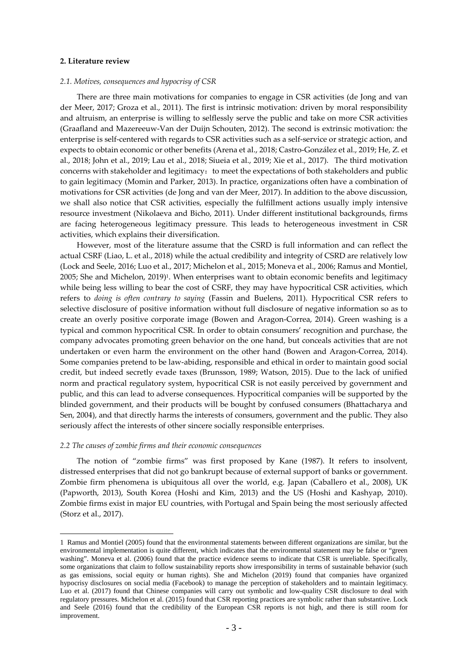#### **2. Literature review**

## *2.1. Motives, consequences and hypocrisy of CSR*

There are three main motivations for companies to engage in CSR activities (de Jong and van der Meer, 2017; Groza et al., 2011). The first is intrinsic motivation: driven by moral responsibility and altruism, an enterprise is willing to selflessly serve the public and take on more CSR activities (Graafland and Mazereeuw-Van der Duijn Schouten, 2012). The second is extrinsic motivation: the enterprise is self-centered with regards to CSR activities such as a self-service or strategic action, and expects to obtain economic or other benefits (Arena et al., 2018; Castro-González et al., 2019; He, Z. et al., 2018; John et al., 2019; Lau et al., 2018; Siueia et al., 2019; Xie et al., 2017). The third motivation concerns with stakeholder and legitimacy: to meet the expectations of both stakeholders and public to gain legitimacy (Momin and Parker, 2013). In practice, organizations often have a combination of motivations for CSR activities (de Jong and van der Meer, 2017). In addition to the above discussion, we shall also notice that CSR activities, especially the fulfillment actions usually imply intensive resource investment (Nikolaeva and Bicho, 2011). Under different institutional backgrounds, firms are facing heterogeneous legitimacy pressure. This leads to heterogeneous investment in CSR activities, which explains their diversification.

However, most of the literature assume that the CSRD is full information and can reflect the actual CSRF (Liao, L. et al., 2018) while the actual credibility and integrity of CSRD are relatively low (Lock and Seele, 2016; Luo et al., 2017; Michelon et al., 2015; Moneva et al., 2006; Ramus and Montiel, 2005; She and Michelon, 2019)<sup>1</sup>. When enterprises want to obtain economic benefits and legitimacy while being less willing to bear the cost of CSRF, they may have hypocritical CSR activities, which refers to *doing is often contrary to saying* (Fassin and Buelens, 2011). Hypocritical CSR refers to selective disclosure of positive information without full disclosure of negative information so as to create an overly positive corporate image (Bowen and Aragon-Correa, 2014). Green washing is a typical and common hypocritical CSR. In order to obtain consumers' recognition and purchase, the company advocates promoting green behavior on the one hand, but conceals activities that are not undertaken or even harm the environment on the other hand (Bowen and Aragon-Correa, 2014). Some companies pretend to be law-abiding, responsible and ethical in order to maintain good social credit, but indeed secretly evade taxes (Brunsson, 1989; Watson, 2015). Due to the lack of unified norm and practical regulatory system, hypocritical CSR is not easily perceived by government and public, and this can lead to adverse consequences. Hypocritical companies will be supported by the blinded government, and their products will be bought by confused consumers (Bhattacharya and Sen, 2004), and that directly harms the interests of consumers, government and the public. They also seriously affect the interests of other sincere socially responsible enterprises.

#### *2.2 The causes of zombie firms and their economic consequences*

The notion of "zombie firms" was first proposed by Kane (1987). It refers to insolvent, distressed enterprises that did not go bankrupt because of external support of banks or government. Zombie firm phenomena is ubiquitous all over the world, e.g. Japan (Caballero et al., 2008), UK (Papworth, 2013), South Korea (Hoshi and Kim, 2013) and the US (Hoshi and Kashyap, 2010). Zombie firms exist in major EU countries, with Portugal and Spain being the most seriously affected (Storz et al., 2017).

 <sup>1</sup> Ramus and Montiel (2005) found that the environmental statements between different organizations are similar, but the environmental implementation is quite different, which indicates that the environmental statement may be false or "green washing". Moneva et al. (2006) found that the practice evidence seems to indicate that CSR is unreliable. Specifically, some organizations that claim to follow sustainability reports show irresponsibility in terms of sustainable behavior (such as gas emissions, social equity or human rights). She and Michelon (2019) found that companies have organized hypocrisy disclosures on social media (Facebook) to manage the perception of stakeholders and to maintain legitimacy. Luo et al. (2017) found that Chinese companies will carry out symbolic and low-quality CSR disclosure to deal with regulatory pressures. Michelon et al. (2015) found that CSR reporting practices are symbolic rather than substantive. Lock and Seele (2016) found that the credibility of the European CSR reports is not high, and there is still room for improvement.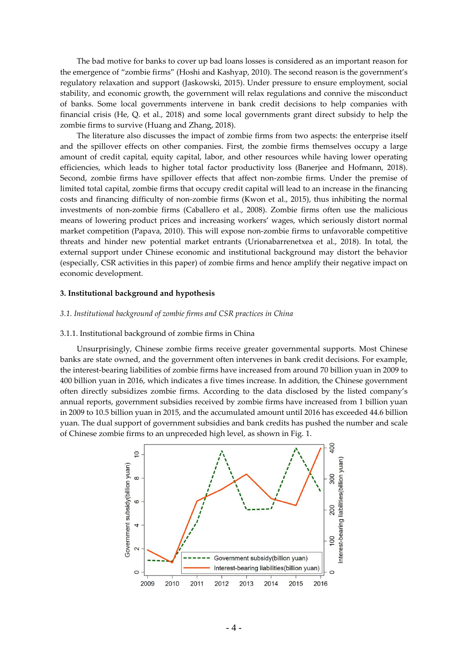The bad motive for banks to cover up bad loans losses is considered as an important reason for the emergence of "zombie firms" (Hoshi and Kashyap, 2010). The second reason is the government's regulatory relaxation and support (Jaskowski, 2015). Under pressure to ensure employment, social stability, and economic growth, the government will relax regulations and connive the misconduct of banks. Some local governments intervene in bank credit decisions to help companies with financial crisis (He, Q. et al., 2018) and some local governments grant direct subsidy to help the zombie firms to survive (Huang and Zhang, 2018).

The literature also discusses the impact of zombie firms from two aspects: the enterprise itself and the spillover effects on other companies. First, the zombie firms themselves occupy a large amount of credit capital, equity capital, labor, and other resources while having lower operating efficiencies, which leads to higher total factor productivity loss (Banerjee and Hofmann, 2018). Second, zombie firms have spillover effects that affect non-zombie firms. Under the premise of limited total capital, zombie firms that occupy credit capital will lead to an increase in the financing costs and financing difficulty of non-zombie firms (Kwon et al., 2015), thus inhibiting the normal investments of non-zombie firms (Caballero et al., 2008). Zombie firms often use the malicious means of lowering product prices and increasing workers' wages, which seriously distort normal market competition (Papava, 2010). This will expose non-zombie firms to unfavorable competitive threats and hinder new potential market entrants (Urionabarrenetxea et al., 2018). In total, the external support under Chinese economic and institutional background may distort the behavior (especially, CSR activities in this paper) of zombie firms and hence amplify their negative impact on economic development.

#### **3. Institutional background and hypothesis**

#### *3.1. Institutional background of zombie firms and CSR practices in China*

#### 3.1.1. Institutional background of zombie firms in China

Unsurprisingly, Chinese zombie firms receive greater governmental supports. Most Chinese banks are state owned, and the government often intervenes in bank credit decisions. For example, the interest-bearing liabilities of zombie firms have increased from around 70 billion yuan in 2009 to 400 billion yuan in 2016, which indicates a five times increase. In addition, the Chinese government often directly subsidizes zombie firms. According to the data disclosed by the listed company's annual reports, government subsidies received by zombie firms have increased from 1 billion yuan in 2009 to 10.5 billion yuan in 2015, and the accumulated amount until 2016 has exceeded 44.6 billion yuan. The dual support of government subsidies and bank credits has pushed the number and scale of Chinese zombie firms to an unpreceded high level, as shown in Fig. 1.

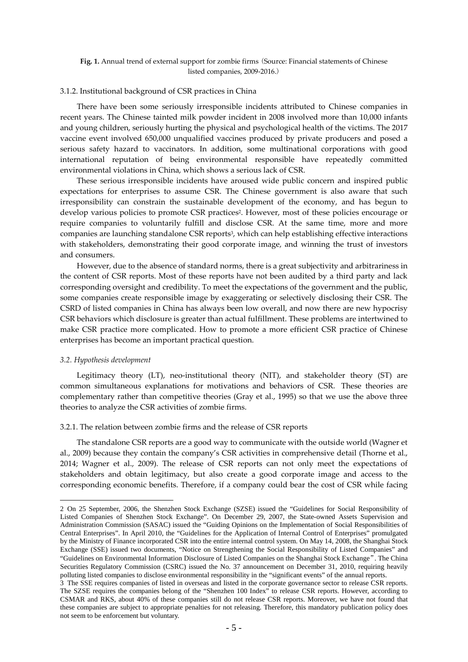## **Fig. 1.** Annual trend of external support for zombie firms (Source: Financial statements of Chinese listed companies, 2009-2016.)

## 3.1.2. Institutional background of CSR practices in China

There have been some seriously irresponsible incidents attributed to Chinese companies in recent years. The Chinese tainted milk powder incident in 2008 involved more than 10,000 infants and young children, seriously hurting the physical and psychological health of the victims. The 2017 vaccine event involved 650,000 unqualified vaccines produced by private producers and posed a serious safety hazard to vaccinators. In addition, some multinational corporations with good international reputation of being environmental responsible have repeatedly committed environmental violations in China, which shows a serious lack of CSR.

These serious irresponsible incidents have aroused wide public concern and inspired public expectations for enterprises to assume CSR. The Chinese government is also aware that such irresponsibility can constrain the sustainable development of the economy, and has begun to develop various policies to promote CSR practices<sup>2</sup>. However, most of these policies encourage or require companies to voluntarily fulfill and disclose CSR. At the same time, more and more companies are launching standalone CSR reports<sup>3</sup>, which can help establishing effective interactions with stakeholders, demonstrating their good corporate image, and winning the trust of investors and consumers.

However, due to the absence of standard norms, there is a great subjectivity and arbitrariness in the content of CSR reports. Most of these reports have not been audited by a third party and lack corresponding oversight and credibility. To meet the expectations of the government and the public, some companies create responsible image by exaggerating or selectively disclosing their CSR. The CSRD of listed companies in China has always been low overall, and now there are new hypocrisy CSR behaviors which disclosure is greater than actual fulfillment. These problems are intertwined to make CSR practice more complicated. How to promote a more efficient CSR practice of Chinese enterprises has become an important practical question.

#### *3.2. Hypothesis development*

Legitimacy theory (LT), neo-institutional theory (NIT), and stakeholder theory (ST) are common simultaneous explanations for motivations and behaviors of CSR. These theories are complementary rather than competitive theories (Gray et al., 1995) so that we use the above three theories to analyze the CSR activities of zombie firms.

#### 3.2.1. The relation between zombie firms and the release of CSR reports

The standalone CSR reports are a good way to communicate with the outside world (Wagner et al., 2009) because they contain the company's CSR activities in comprehensive detail (Thorne et al., 2014; Wagner et al., 2009). The release of CSR reports can not only meet the expectations of stakeholders and obtain legitimacy, but also create a good corporate image and access to the corresponding economic benefits. Therefore, if a company could bear the cost of CSR while facing

 <sup>2</sup> On 25 September, 2006, the Shenzhen Stock Exchange (SZSE) issued the "Guidelines for Social Responsibility of Listed Companies of Shenzhen Stock Exchange". On December 29, 2007, the State-owned Assets Supervision and Administration Commission (SASAC) issued the "Guiding Opinions on the Implementation of Social Responsibilities of Central Enterprises". In April 2010, the "Guidelines for the Application of Internal Control of Enterprises" promulgated by the Ministry of Finance incorporated CSR into the entire internal control system. On May 14, 2008, the Shanghai Stock Exchange (SSE) issued two documents, "Notice on Strengthening the Social Responsibility of Listed Companies" and "Guidelines on Environmental Information Disclosure of Listed Companies on the Shanghai Stock Exchange". The China Securities Regulatory Commission (CSRC) issued the No. 37 announcement on December 31, 2010, requiring heavily polluting listed companies to disclose environmental responsibility in the "significant events" of the annual reports.

<sup>3</sup> The SSE requires companies of listed in overseas and listed in the corporate governance sector to release CSR reports. The SZSE requires the companies belong of the "Shenzhen 100 Index" to release CSR reports. However, according to CSMAR and RKS, about 40% of these companies still do not release CSR reports. Moreover, we have not found that these companies are subject to appropriate penalties for not releasing. Therefore, this mandatory publication policy does not seem to be enforcement but voluntary.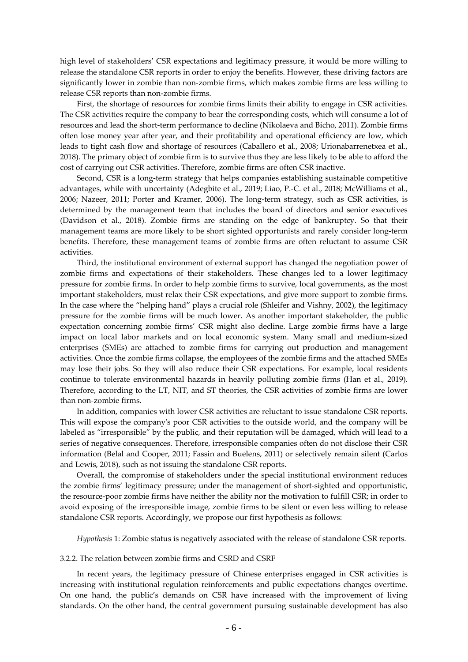high level of stakeholders' CSR expectations and legitimacy pressure, it would be more willing to release the standalone CSR reports in order to enjoy the benefits. However, these driving factors are significantly lower in zombie than non-zombie firms, which makes zombie firms are less willing to release CSR reports than non-zombie firms.

First, the shortage of resources for zombie firms limits their ability to engage in CSR activities. The CSR activities require the company to bear the corresponding costs, which will consume a lot of resources and lead the short-term performance to decline (Nikolaeva and Bicho, 2011). Zombie firms often lose money year after year, and their profitability and operational efficiency are low, which leads to tight cash flow and shortage of resources (Caballero et al., 2008; Urionabarrenetxea et al., 2018). The primary object of zombie firm is to survive thus they are less likely to be able to afford the cost of carrying out CSR activities. Therefore, zombie firms are often CSR inactive.

Second, CSR is a long-term strategy that helps companies establishing sustainable competitive advantages, while with uncertainty (Adegbite et al., 2019; Liao, P.-C. et al., 2018; McWilliams et al., 2006; Nazeer, 2011; Porter and Kramer, 2006). The long-term strategy, such as CSR activities, is determined by the management team that includes the board of directors and senior executives (Davidson et al., 2018). Zombie firms are standing on the edge of bankruptcy. So that their management teams are more likely to be short sighted opportunists and rarely consider long-term benefits. Therefore, these management teams of zombie firms are often reluctant to assume CSR activities.

Third, the institutional environment of external support has changed the negotiation power of zombie firms and expectations of their stakeholders. These changes led to a lower legitimacy pressure for zombie firms. In order to help zombie firms to survive, local governments, as the most important stakeholders, must relax their CSR expectations, and give more support to zombie firms. In the case where the "helping hand" plays a crucial role (Shleifer and Vishny, 2002), the legitimacy pressure for the zombie firms will be much lower. As another important stakeholder, the public expectation concerning zombie firms' CSR might also decline. Large zombie firms have a large impact on local labor markets and on local economic system. Many small and medium-sized enterprises (SMEs) are attached to zombie firms for carrying out production and management activities. Once the zombie firms collapse, the employees of the zombie firms and the attached SMEs may lose their jobs. So they will also reduce their CSR expectations. For example, local residents continue to tolerate environmental hazards in heavily polluting zombie firms (Han et al., 2019). Therefore, according to the LT, NIT, and ST theories, the CSR activities of zombie firms are lower than non-zombie firms.

In addition, companies with lower CSR activities are reluctant to issue standalone CSR reports. This will expose the company's poor CSR activities to the outside world, and the company will be labeled as "irresponsible" by the public, and their reputation will be damaged, which will lead to a series of negative consequences. Therefore, irresponsible companies often do not disclose their CSR information (Belal and Cooper, 2011; Fassin and Buelens, 2011) or selectively remain silent (Carlos and Lewis, 2018), such as not issuing the standalone CSR reports.

Overall, the compromise of stakeholders under the special institutional environment reduces the zombie firms' legitimacy pressure; under the management of short-sighted and opportunistic, the resource-poor zombie firms have neither the ability nor the motivation to fulfill CSR; in order to avoid exposing of the irresponsible image, zombie firms to be silent or even less willing to release standalone CSR reports. Accordingly, we propose our first hypothesis as follows:

*Hypothesis* 1: Zombie status is negatively associated with the release of standalone CSR reports.

#### 3.2.2. The relation between zombie firms and CSRD and CSRF

In recent years, the legitimacy pressure of Chinese enterprises engaged in CSR activities is increasing with institutional regulation reinforcements and public expectations changes overtime. On one hand, the public's demands on CSR have increased with the improvement of living standards. On the other hand, the central government pursuing sustainable development has also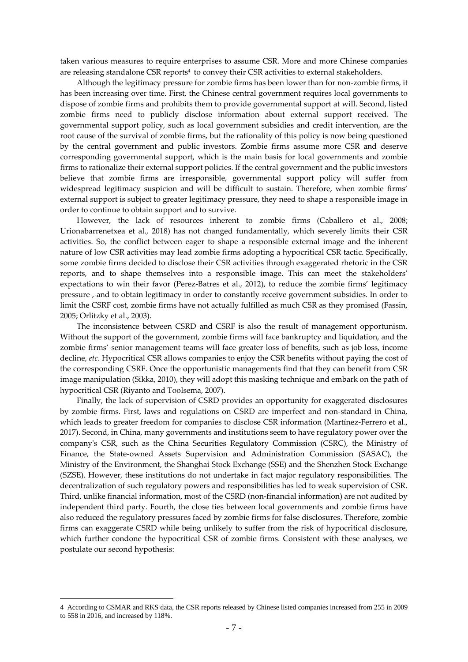taken various measures to require enterprises to assume CSR. More and more Chinese companies are releasing standalone CSR reports<sup>4</sup> to convey their CSR activities to external stakeholders.

Although the legitimacy pressure for zombie firms has been lower than for non-zombie firms, it has been increasing over time. First, the Chinese central government requires local governments to dispose of zombie firms and prohibits them to provide governmental support at will. Second, listed zombie firms need to publicly disclose information about external support received. The governmental support policy, such as local government subsidies and credit intervention, are the root cause of the survival of zombie firms, but the rationality of this policy is now being questioned by the central government and public investors. Zombie firms assume more CSR and deserve corresponding governmental support, which is the main basis for local governments and zombie firms to rationalize their external support policies. If the central government and the public investors believe that zombie firms are irresponsible, governmental support policy will suffer from widespread legitimacy suspicion and will be difficult to sustain. Therefore, when zombie firms' external support is subject to greater legitimacy pressure, they need to shape a responsible image in order to continue to obtain support and to survive.

However, the lack of resources inherent to zombie firms (Caballero et al., 2008; Urionabarrenetxea et al., 2018) has not changed fundamentally, which severely limits their CSR activities. So, the conflict between eager to shape a responsible external image and the inherent nature of low CSR activities may lead zombie firms adopting a hypocritical CSR tactic. Specifically, some zombie firms decided to disclose their CSR activities through exaggerated rhetoric in the CSR reports, and to shape themselves into a responsible image. This can meet the stakeholders' expectations to win their favor (Perez-Batres et al., 2012), to reduce the zombie firms' legitimacy pressure , and to obtain legitimacy in order to constantly receive government subsidies. In order to limit the CSRF cost, zombie firms have not actually fulfilled as much CSR as they promised (Fassin, 2005; Orlitzky et al., 2003).

The inconsistence between CSRD and CSRF is also the result of management opportunism. Without the support of the government, zombie firms will face bankruptcy and liquidation, and the zombie firms' senior management teams will face greater loss of benefits, such as job loss, income decline, *etc*. Hypocritical CSR allows companies to enjoy the CSR benefits without paying the cost of the corresponding CSRF. Once the opportunistic managements find that they can benefit from CSR image manipulation (Sikka, 2010), they will adopt this masking technique and embark on the path of hypocritical CSR (Riyanto and Toolsema, 2007).

Finally, the lack of supervision of CSRD provides an opportunity for exaggerated disclosures by zombie firms. First, laws and regulations on CSRD are imperfect and non-standard in China, which leads to greater freedom for companies to disclose CSR information (Martínez-Ferrero et al., 2017). Second, in China, many governments and institutions seem to have regulatory power over the company's CSR, such as the China Securities Regulatory Commission (CSRC), the Ministry of Finance, the State-owned Assets Supervision and Administration Commission (SASAC), the Ministry of the Environment, the Shanghai Stock Exchange (SSE) and the Shenzhen Stock Exchange (SZSE). However, these institutions do not undertake in fact major regulatory responsibilities. The decentralization of such regulatory powers and responsibilities has led to weak supervision of CSR. Third, unlike financial information, most of the CSRD (non-financial information) are not audited by independent third party. Fourth, the close ties between local governments and zombie firms have also reduced the regulatory pressures faced by zombie firms for false disclosures. Therefore, zombie firms can exaggerate CSRD while being unlikely to suffer from the risk of hypocritical disclosure, which further condone the hypocritical CSR of zombie firms. Consistent with these analyses, we postulate our second hypothesis:

 <sup>4</sup> According to CSMAR and RKS data, the CSR reports released by Chinese listed companies increased from 255 in 2009 to 558 in 2016, and increased by 118%.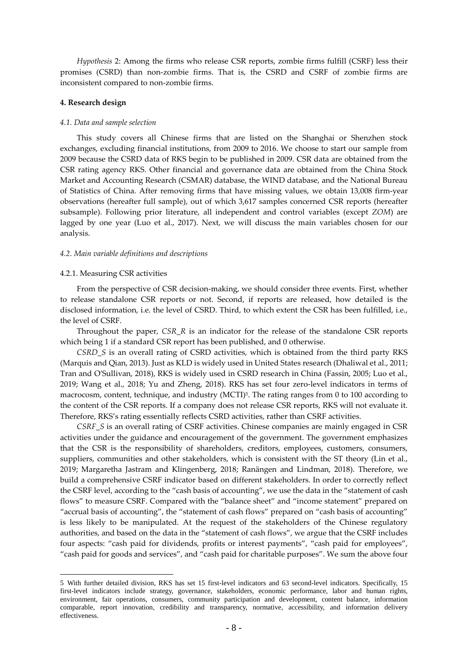*Hypothesis* 2: Among the firms who release CSR reports, zombie firms fulfill (CSRF) less their promises (CSRD) than non-zombie firms. That is, the CSRD and CSRF of zombie firms are inconsistent compared to non-zombie firms.

#### **4. Research design**

#### *4.1. Data and sample selection*

This study covers all Chinese firms that are listed on the Shanghai or Shenzhen stock exchanges, excluding financial institutions, from 2009 to 2016. We choose to start our sample from 2009 because the CSRD data of RKS begin to be published in 2009. CSR data are obtained from the CSR rating agency RKS. Other financial and governance data are obtained from the China Stock Market and Accounting Research (CSMAR) database, the WIND database, and the National Bureau of Statistics of China. After removing firms that have missing values, we obtain 13,008 firm-year observations (hereafter full sample), out of which 3,617 samples concerned CSR reports (hereafter subsample). Following prior literature, all independent and control variables (except *ZOM*) are lagged by one year (Luo et al., 2017). Next, we will discuss the main variables chosen for our analysis.

#### *4.2. Main variable definitions and descriptions*

#### 4.2.1. Measuring CSR activities

From the perspective of CSR decision-making, we should consider three events. First, whether to release standalone CSR reports or not. Second, if reports are released, how detailed is the disclosed information, i.e. the level of CSRD. Third, to which extent the CSR has been fulfilled, i.e., the level of CSRF.

Throughout the paper, *CSR\_R* is an indicator for the release of the standalone CSR reports which being 1 if a standard CSR report has been published, and 0 otherwise.

*CSRD\_S* is an overall rating of CSRD activities, which is obtained from the third party RKS (Marquis and Qian, 2013). Just as KLD is widely used in United States research (Dhaliwal et al., 2011; Tran and O'Sullivan, 2018), RKS is widely used in CSRD research in China (Fassin, 2005; Luo et al., 2019; Wang et al., 2018; Yu and Zheng, 2018). RKS has set four zero-level indicators in terms of macrocosm, content, technique, and industry (MCTI)<sup>5</sup>. The rating ranges from 0 to 100 according to the content of the CSR reports. If a company does not release CSR reports, RKS will not evaluate it. Therefore, RKS's rating essentially reflects CSRD activities, rather than CSRF activities.

*CSRF\_S* is an overall rating of CSRF activities. Chinese companies are mainly engaged in CSR activities under the guidance and encouragement of the government. The government emphasizes that the CSR is the responsibility of shareholders, creditors, employees, customers, consumers, suppliers, communities and other stakeholders, which is consistent with the ST theory (Lin et al., 2019; Margaretha Jastram and Klingenberg, 2018; Ranängen and Lindman, 2018). Therefore, we build a comprehensive CSRF indicator based on different stakeholders. In order to correctly reflect the CSRF level, according to the "cash basis of accounting", we use the data in the "statement of cash flows" to measure CSRF. Compared with the "balance sheet" and "income statement" prepared on "accrual basis of accounting", the "statement of cash flows" prepared on "cash basis of accounting" is less likely to be manipulated. At the request of the stakeholders of the Chinese regulatory authorities, and based on the data in the "statement of cash flows", we argue that the CSRF includes four aspects: "cash paid for dividends, profits or interest payments", "cash paid for employees", "cash paid for goods and services", and "cash paid for charitable purposes". We sum the above four

 <sup>5</sup> With further detailed division, RKS has set 15 first-level indicators and 63 second-level indicators. Specifically, 15 first-level indicators include strategy, governance, stakeholders, economic performance, labor and human rights, environment, fair operations, consumers, community participation and development, content balance, information comparable, report innovation, credibility and transparency, normative, accessibility, and information delivery effectiveness.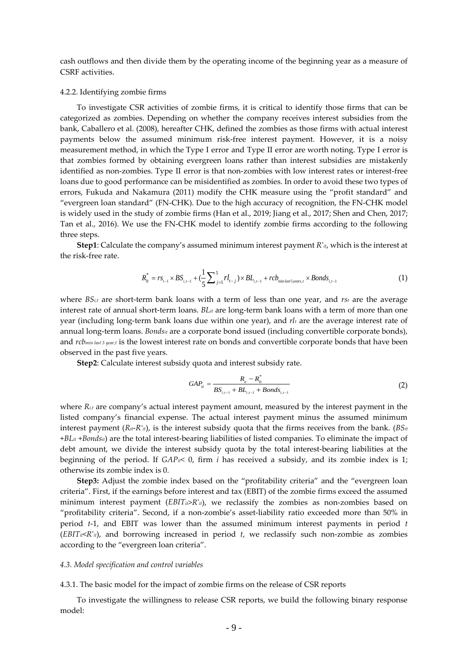cash outflows and then divide them by the operating income of the beginning year as a measure of CSRF activities.

#### 4.2.2. Identifying zombie firms

To investigate CSR activities of zombie firms, it is critical to identify those firms that can be categorized as zombies. Depending on whether the company receives interest subsidies from the bank, Caballero et al. (2008), hereafter CHK, defined the zombies as those firms with actual interest payments below the assumed minimum risk-free interest payment. However, it is a noisy measurement method, in which the Type I error and Type II error are worth noting. Type I error is that zombies formed by obtaining evergreen loans rather than interest subsidies are mistakenly identified as non-zombies. Type II error is that non-zombies with low interest rates or interest-free loans due to good performance can be misidentified as zombies. In order to avoid these two types of errors, Fukuda and Nakamura (2011) modify the CHK measure using the "profit standard" and "evergreen loan standard" (FN-CHK). Due to the high accuracy of recognition, the FN-CHK model is widely used in the study of zombie firms (Han et al., 2019; Jiang et al., 2017; Shen and Chen, 2017; Tan et al., 2016). We use the FN-CHK model to identify zombie firms according to the following three steps.

**Step1**: Calculate the company's assumed minimum interest payment *R\* it*, which is the interest at the risk-free rate.

$$
R_{it}^* = rs_{t-1} \times BS_{i,t-1} + (\frac{1}{5} \sum_{j=1}^5 r l_{t-j}) \times BL_{i,t-1} + rcb_{\min\text{last5 years},t} \times Bonds_{i,t-1}
$$
(1)

where *BSi,t* are short-term bank loans with a term of less than one year, and *rst* are the average interest rate of annual short-term loans. *BLit* are long-term bank loans with a term of more than one year (including long-term bank loans due within one year), and *rlt* are the average interest rate of annual long-term loans. *Bondsit* are a corporate bond issued (including convertible corporate bonds), and *rcb<sub>min last 5 year,t* is the lowest interest rate on bonds and convertible corporate bonds that have been</sub> observed in the past five years.

**Step2**: Calculate interest subsidy quota and interest subsidy rate.

$$
GAP_{it} = \frac{R_{it} - R_{it}^{*}}{BS_{i,t-1} + BL_{i,t-1} + Bonds_{i,t-1}}
$$
(2)

where  $R_{i,t}$  are company's actual interest payment amount, measured by the interest payment in the listed company's financial expense. The actual interest payment minus the assumed minimum interest payment  $(R_{it}-R_{it})$ , is the interest subsidy quota that the firms receives from the bank. (*BS<sub>it</sub>* +*BLit* +*Bondsit*) are the total interest-bearing liabilities of listed companies. To eliminate the impact of debt amount, we divide the interest subsidy quota by the total interest-bearing liabilities at the beginning of the period. If *GAPit*< 0, firm *i* has received a subsidy, and its zombie index is 1; otherwise its zombie index is 0.

**Step3:** Adjust the zombie index based on the "profitability criteria" and the "evergreen loan criteria". First, if the earnings before interest and tax (EBIT) of the zombie firms exceed the assumed minimum interest payment ( $EBIT_{ii} \geq R^*_{ii}$ ), we reclassify the zombies as non-zombies based on "profitability criteria". Second, if a non-zombie's asset-liability ratio exceeded more than 50% in period *t*-1, and EBIT was lower than the assumed minimum interest payments in period *t*  $(EBITi<sub>i</sub><  $R^*$ <sub>it</sub>),$  and borrowing increased in period *t*, we reclassify such non-zombie as zombies according to the "evergreen loan criteria".

#### *4.3. Model specification and control variables*

#### 4.3.1. The basic model for the impact of zombie firms on the release of CSR reports

To investigate the willingness to release CSR reports, we build the following binary response model: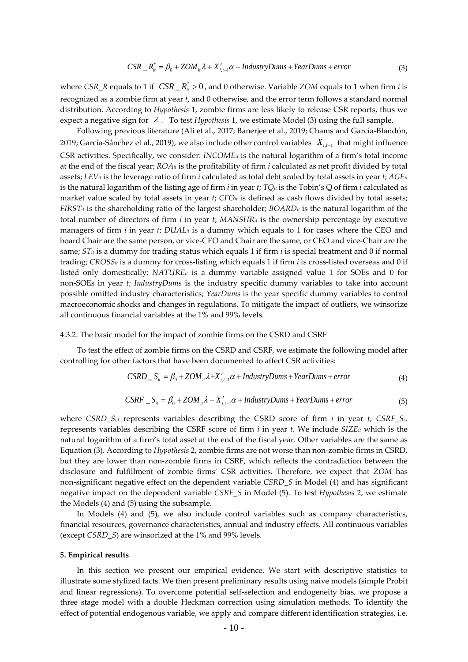where *CSR\_R* equals to 1 if  $CSR \_\mathbb{R}^* > 0$ , and 0 otherwise. Variable *ZOM* equals to 1 when firm *i* is recognized as a zombie firm at year *t*, and 0 otherwise, and the error term follows a standard normal distribution. According to *Hypothesis* 1, zombie firms are less likely to release CSR reports, thus we expect a negative sign for  $\lambda$ . To test *Hypothesis* 1, we estimate Model (3) using the full sample.

Following previous literature (Ali et al., 2017; Banerjee et al., 2019; Chams and García-Blandón, 2019; García-Sánchez et al., 2019), we also include other control variables *X*<sub>*i*-1</sub> that might influence CSR activities. Specifically, we consider: *INCOMEit* is the natural logarithm of a firm's total income at the end of the fiscal year; *ROAit* is the profitability of firm *i* calculated as net profit divided by total assets; *LEVit* is the leverage ratio of firm *i* calculated as total debt scaled by total assets in year *t*; *AGEit* is the natural logarithm of the listing age of firm *i* in year *t*;  $TQ_{it}$  is the Tobin's Q of firm *i* calculated as market value scaled by total assets in year *t*; *CFOit* is defined as cash flows divided by total assets; *FIRSTit* is the shareholding ratio of the largest shareholder; *BOARDit* is the natural logarithm of the total number of directors of firm *i* in year *t*; *MANSHRit* is the ownership percentage by executive managers of firm  $i$  in year  $t$ ;  $DUAL<sub>it</sub>$  is a dummy which equals to 1 for cases where the CEO and board Chair are the same person, or vice-CEO and Chair are the same, or CEO and vice-Chair are the same; *STit* is a dummy for trading status which equals 1 if firm *i* is special treatment and 0 if normal trading; *CROSSit* is a dummy for cross-listing which equals 1 if firm *i* is cross-listed overseas and 0 if listed only domestically;  $NATURE<sub>it</sub>$  is a dummy variable assigned value 1 for SOEs and 0 for non-SOEs in year *t*; *IndustryDums* is the industry specific dummy variables to take into account possible omitted industry characteristics; *YearDums* is the year specific dummy variables to control macroeconomic shocks and changes in regulations. To mitigate the impact of outliers, we winsorize all continuous financial variables at the 1% and 99% levels.

4.3.2. The basic model for the impact of zombie firms on the CSRD and CSRF

To test the effect of zombie firms on the CSRD and CSRF, we estimate the following model after controlling for other factors that have been documented to affect CSR activities:

$$
CSRD \t Sit = \beta_0 + ZOM_{it} \lambda + X'_{i,t-1} \alpha + IndustryDums + YearDums + error
$$
 (4)

$$
CSRF \_\ S_{ii} = \beta_0 + ZOM_{ii} \lambda + X'_{i,i-1} \alpha + IndustryDums + YearDums + error \tag{5}
$$

where *CSRD\_Si,t* represents variables describing the CSRD score of firm *i* in year *t*, *CSRF\_Si,t* represents variables describing the CSRF score of firm  $i$  in year  $t$ . We include  $SIZE_{it}$  which is the natural logarithm of a firm's total asset at the end of the fiscal year. Other variables are the same as Equation (3). According to *Hypothesis* 2, zombie firms are not worse than non-zombie firms in CSRD, but they are lower than non-zombie firms in CSRF, which reflects the contradiction between the disclosure and fulfillment of zombie firms' CSR activities. Therefore, we expect that *ZOM* has non-significant negative effect on the dependent variable *CSRD\_S* in Model (4) and has significant negative impact on the dependent variable *CSRF\_S* in Model (5). To test *Hypothesis* 2, we estimate the Models (4) and (5) using the subsample.

In Models (4) and (5), we also include control variables such as company characteristics, financial resources, governance characteristics, annual and industry effects. All continuous variables (except *CSRD\_S*) are winsorized at the 1% and 99% levels.

#### **5. Empirical results**

In this section we present our empirical evidence. We start with descriptive statistics to illustrate some stylized facts. We then present preliminary results using naive models (simple Probit and linear regressions). To overcome potential self-selection and endogeneity bias, we propose a three stage model with a double Heckman correction using simulation methods. To identify the effect of potential endogenous variable, we apply and compare different identification strategies, i.e.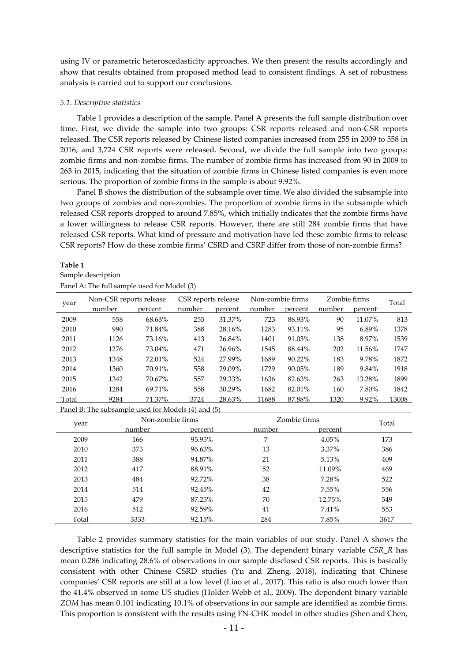using IV or parametric heteroscedasticity approaches. We then present the results accordingly and show that results obtained from proposed method lead to consistent findings. A set of robustness analysis is carried out to support our conclusions.

#### *5.1. Descriptive statistics*

Table 1 provides a description of the sample. Panel A presents the full sample distribution over time. First, we divide the sample into two groups: CSR reports released and non-CSR reports released. The CSR reports released by Chinese listed companies increased from 255 in 2009 to 558 in 2016, and 3,724 CSR reports were released. Second, we divide the full sample into two groups: zombie firms and non-zombie firms. The number of zombie firms has increased from 90 in 2009 to 263 in 2015, indicating that the situation of zombie firms in Chinese listed companies is even more serious. The proportion of zombie firms in the sample is about 9.92%.

Panel B shows the distribution of the subsample over time. We also divided the subsample into two groups of zombies and non-zombies. The proportion of zombie firms in the subsample which released CSR reports dropped to around 7.85%, which initially indicates that the zombie firms have a lower willingness to release CSR reports. However, there are still 284 zombie firms that have released CSR reports. What kind of pressure and motivation have led these zombie firms to release CSR reports? How do these zombie firms' CSRD and CSRF differ from those of non-zombie firms?

#### **Table 1**

Sample description Panel A: The full sample used for Model (3)

| year  | Non-CSR reports release |         | CSR reports release |         | Non-zombie firms |           | Zombie firms |         | Total |
|-------|-------------------------|---------|---------------------|---------|------------------|-----------|--------------|---------|-------|
|       | number                  | percent | number              | percent | number           | percent   | number       | percent |       |
| 2009  | 558                     | 68.63%  | 255                 | 31.37%  | 723              | 88.93%    | 90           | 11.07%  | 813   |
| 2010  | 990                     | 71.84%  | 388                 | 28.16%  | 1283             | 93.11%    | 95           | 6.89%   | 1378  |
| 2011  | 1126                    | 73.16%  | 413                 | 26.84%  | 1401             | 91.03%    | 138          | 8.97%   | 1539  |
| 2012  | 1276                    | 73.04%  | 471                 | 26.96%  | 1545             | 88.44%    | 202          | 11.56%  | 1747  |
| 2013  | 1348                    | 72.01%  | 524                 | 27.99%  | 1689             | $90.22\%$ | 183          | 9.78%   | 1872  |
| 2014  | 1360                    | 70.91%  | 558                 | 29.09%  | 1729             | 90.05%    | 189          | 9.84%   | 1918  |
| 2015  | 1342                    | 70.67%  | 557                 | 29.33%  | 1636             | 82.63%    | 263          | 13.28%  | 1899  |
| 2016  | 1284                    | 69.71%  | 558                 | 30.29%  | 1682             | 82.01%    | 160          | 7.80%   | 1842  |
| Total | 9284                    | 71.37%  | 3724                | 28.63%  | 11688            | 87.88%    | 1320         | 9.92%   | 13008 |

Panel B: The subsample used for Models (4) and (5)

| year  |        | Non-zombie firms |        | Zombie firms |       |  |
|-------|--------|------------------|--------|--------------|-------|--|
|       | number | percent          | number | percent      | Total |  |
| 2009  | 166    | 95.95%           | 7      | $4.05\%$     | 173   |  |
| 2010  | 373    | 96.63%           | 13     | 3.37%        | 386   |  |
| 2011  | 388    | 94.87%           | 21     | 5.13%        | 409   |  |
| 2012  | 417    | 88.91%           | 52     | 11.09%       | 469   |  |
| 2013  | 484    | 92.72%           | 38     | 7.28%        | 522   |  |
| 2014  | 514    | 92.45%           | 42     | $7.55\%$     | 556   |  |
| 2015  | 479    | 87.25%           | 70     | 12.75%       | 549   |  |
| 2016  | 512    | 92.59%           | 41     | 7.41%        | 553   |  |
| Total | 3333   | 92.15%           | 284    | 7.85%        | 3617  |  |

Table 2 provides summary statistics for the main variables of our study. Panel A shows the descriptive statistics for the full sample in Model (3). The dependent binary variable *CSR\_R* has mean 0.286 indicating 28.6% of observations in our sample disclosed CSR reports. This is basically consistent with other Chinese CSRD studies (Yu and Zheng, 2018), indicating that Chinese companies' CSR reports are still at a low level (Liao et al., 2017). This ratio is also much lower than the 41.4% observed in some US studies (Holder-Webb et al., 2009). The dependent binary variable *ZOM* has mean 0.101 indicating 10.1% of observations in our sample are identified as zombie firms. This proportion is consistent with the results using FN-CHK model in other studies (Shen and Chen,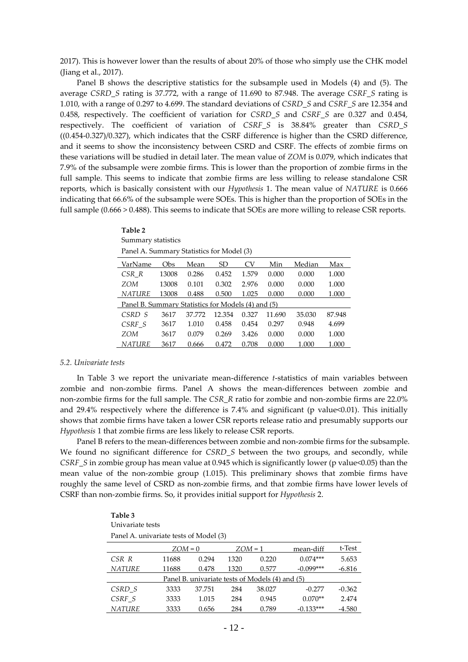2017). This is however lower than the results of about 20% of those who simply use the CHK model (Jiang et al., 2017).

Panel B shows the descriptive statistics for the subsample used in Models (4) and (5). The average *CSRD\_S* rating is 37.772, with a range of 11.690 to 87.948. The average *CSRF\_S* rating is 1.010, with a range of 0.297 to 4.699. The standard deviations of *CSRD\_S* and *CSRF\_S* are 12.354 and 0.458, respectively. The coefficient of variation for *CSRD\_S* and *CSRF\_S* are 0.327 and 0.454, respectively. The coefficient of variation of *CSRF\_S* is 38.84% greater than *CSRD\_S* ((0.454-0.327)/0.327), which indicates that the CSRF difference is higher than the CSRD difference, and it seems to show the inconsistency between CSRD and CSRF. The effects of zombie firms on these variations will be studied in detail later. The mean value of *ZOM* is 0.079, which indicates that 7.9% of the subsample were zombie firms. This is lower than the proportion of zombie firms in the full sample. This seems to indicate that zombie firms are less willing to release standalone CSR reports, which is basically consistent with our *Hypothesis* 1. The mean value of *NATURE* is 0.666 indicating that 66.6% of the subsample were SOEs. This is higher than the proportion of SOEs in the full sample (0.666 > 0.488). This seems to indicate that SOEs are more willing to release CSR reports.

| Summary statistics                                 |       |        |           |       |        |        |        |  |  |
|----------------------------------------------------|-------|--------|-----------|-------|--------|--------|--------|--|--|
| Panel A. Summary Statistics for Model (3)          |       |        |           |       |        |        |        |  |  |
| VarName                                            | Obs   | Mean   | <b>SD</b> | CV.   | Min    | Median | Max    |  |  |
| CSR R                                              | 13008 | 0.286  | 0.452     | 1.579 | 0.000  | 0.000  | 1.000  |  |  |
| ZOM                                                | 13008 | 0.101  | 0.302     | 2.976 | 0.000  | 0.000  | 1.000  |  |  |
| <b>NATURE</b>                                      | 13008 | 0.488  | 0.500     | 1.025 | 0.000  | 0.000  | 1.000  |  |  |
| Panel B. Summary Statistics for Models (4) and (5) |       |        |           |       |        |        |        |  |  |
| CSRD S                                             | 3617  | 37.772 | 12.354    | 0.327 | 11.690 | 35.030 | 87.948 |  |  |
| CSRF S                                             | 3617  | 1.010  | 0.458     | 0.454 | 0.297  | 0.948  | 4.699  |  |  |
| ZOM                                                | 3617  | 0.079  | 0.269     | 3.426 | 0.000  | 0.000  | 1.000  |  |  |
| <i>NATURE</i>                                      | 3617  | 0.666  | 0.472     | 0.708 | 0.000  | 1.000  | 1.000  |  |  |

#### *5.2. Univariate tests*

**Table 2**

In Table 3 we report the univariate mean-difference *t*-statistics of main variables between zombie and non-zombie firms. Panel A shows the mean-differences between zombie and non-zombie firms for the full sample. The *CSR\_R* ratio for zombie and non-zombie firms are 22.0% and 29.4% respectively where the difference is 7.4% and significant (p value $<0.01$ ). This initially shows that zombie firms have taken a lower CSR reports release ratio and presumably supports our *Hypothesis* 1 that zombie firms are less likely to release CSR reports.

Panel B refers to the mean-differences between zombie and non-zombie firms for the subsample. We found no significant difference for *CSRD\_S* between the two groups, and secondly, while *CSRF\_S* in zombie group has mean value at 0.945 which is significantly lower (p value<0.05) than the mean value of the non-zombie group (1.015). This preliminary shows that zombie firms have roughly the same level of CSRD as non-zombie firms, and that zombie firms have lower levels of CSRF than non-zombie firms. So, it provides initial support for *Hypothesis* 2.

| Table 3<br>Univariate tests            |         |        |      |                                                 |             |          |  |  |  |
|----------------------------------------|---------|--------|------|-------------------------------------------------|-------------|----------|--|--|--|
| Panel A. univariate tests of Model (3) |         |        |      |                                                 |             |          |  |  |  |
|                                        | ZOM = 0 |        |      | ZOM = 1                                         | mean-diff   | t-Test   |  |  |  |
| CSR R                                  | 11688   | 0.294  | 1320 | 0.220                                           | $0.074***$  | 5.653    |  |  |  |
| <b>NATURE</b>                          | 11688   | 0.478  | 1320 | 0.577                                           | $-0.099***$ | $-6.816$ |  |  |  |
|                                        |         |        |      | Panel B. univariate tests of Models (4) and (5) |             |          |  |  |  |
| CSRD S                                 | 3333    | 37.751 | 284  | 38.027                                          | $-0.277$    | $-0.362$ |  |  |  |
| CSRF S                                 | 3333    | 1.015  | 284  | 0.945                                           | $0.070**$   | 2.474    |  |  |  |
| <i>NATURE</i>                          | 3333    | 0.656  | 284  | 0.789                                           | $-0.133***$ | $-4.580$ |  |  |  |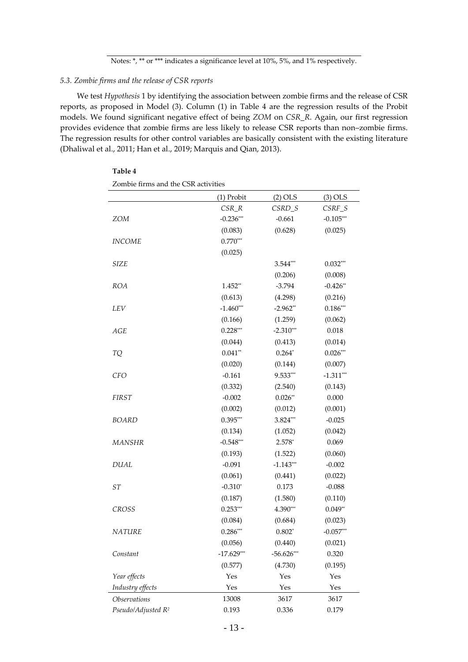## *5.3. Zombie firms and the release of CSR reports*

**Table 4**

We test *Hypothesis* 1 by identifying the association between zombie firms and the release of CSR reports, as proposed in Model (3). Column (1) in Table 4 are the regression results of the Probit models. We found significant negative effect of being *ZOM* on *CSR\_R*. Again, our first regression provides evidence that zombie firms are less likely to release CSR reports than non–zombie firms. The regression results for other control variables are basically consistent with the existing literature (Dhaliwal et al., 2011; Han et al., 2019; Marquis and Qian, 2013).

| Zombie firms and the CSR activities |              |              |             |
|-------------------------------------|--------------|--------------|-------------|
|                                     | (1) Probit   | $(2)$ OLS    | $(3)$ OLS   |
|                                     | $CSR_R$      | CSRD_S       | $CSRF_S$    |
| <b>ZOM</b>                          | $-0.236***$  | $-0.661$     | $-0.105***$ |
|                                     | (0.083)      | (0.628)      | (0.025)     |
| <b>INCOME</b>                       | $0.770***$   |              |             |
|                                     | (0.025)      |              |             |
| <b>SIZE</b>                         |              | $3.544***$   | $0.032***$  |
|                                     |              | (0.206)      | (0.008)     |
| <b>ROA</b>                          | $1.452**$    | $-3.794$     | $-0.426**$  |
|                                     | (0.613)      | (4.298)      | (0.216)     |
| LEV                                 | $-1.460***$  | $-2.962**$   | $0.186***$  |
|                                     | (0.166)      | (1.259)      | (0.062)     |
| AGE                                 | $0.228***$   | $-2.310***$  | 0.018       |
|                                     | (0.044)      | (0.413)      | (0.014)     |
| TQ                                  | $0.041**$    | $0.264*$     | $0.026***$  |
|                                     | (0.020)      | (0.144)      | (0.007)     |
| <b>CFO</b>                          | $-0.161$     | $9.533***$   | $-1.311***$ |
|                                     | (0.332)      | (2.540)      | (0.143)     |
| <b>FIRST</b>                        | $-0.002$     | $0.026**$    | 0.000       |
|                                     | (0.002)      | (0.012)      | (0.001)     |
| <b>BOARD</b>                        | $0.395***$   | $3.824***$   | $-0.025$    |
|                                     | (0.134)      | (1.052)      | (0.042)     |
| <b>MANSHR</b>                       | $-0.548***$  | $2.578*$     | 0.069       |
|                                     | (0.193)      | (1.522)      | (0.060)     |
| <b>DUAL</b>                         | $-0.091$     | $-1.143***$  | $-0.002$    |
|                                     | (0.061)      | (0.441)      | (0.022)     |
| ST                                  | $-0.310*$    | 0.173        | $-0.088$    |
|                                     | (0.187)      | (1.580)      | (0.110)     |
| <b>CROSS</b>                        | $0.253***$   | $4.390***$   | $0.049**$   |
|                                     | (0.084)      | (0.684)      | (0.023)     |
| <b>NATURE</b>                       | $0.286***$   | $0.802*$     | $-0.057***$ |
|                                     | (0.056)      | (0.440)      | (0.021)     |
| Constant                            | $-17.629***$ | $-56.626***$ | 0.320       |
|                                     | (0.577)      | (4.730)      | (0.195)     |
| Year effects                        | Yes          | Yes          | Yes         |
| Industry effects                    | Yes          | Yes          | Yes         |
| <i><b>Observations</b></i>          | 13008        | 3617         | 3617        |
| Pseudo/Adjusted R <sup>2</sup>      | 0.193        | 0.336        | 0.179       |

| Zombie firms and the CSR activities |  |  |  |
|-------------------------------------|--|--|--|

Notes: \*, \*\* or \*\*\* indicates a significance level at 10%, 5%, and 1% respectively.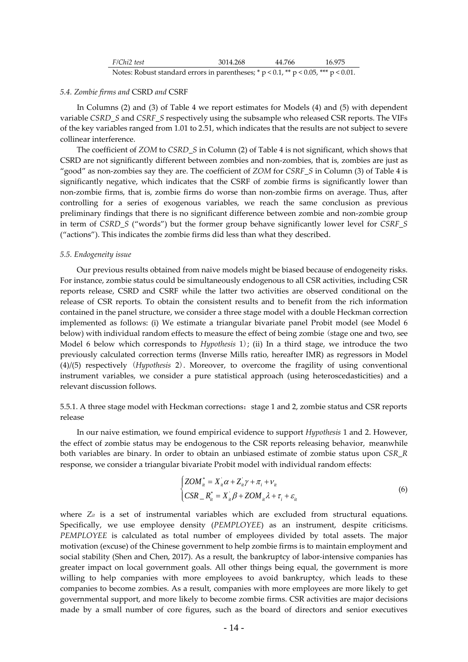| F/Chi2 test                                                                                  | 3014.268 | 44.766 | 16.975 |
|----------------------------------------------------------------------------------------------|----------|--------|--------|
| Notes: Robust standard errors in parentheses; * $p < 0.1$ , ** $p < 0.05$ , *** $p < 0.01$ . |          |        |        |

#### *5.4. Zombie firms and* CSRD *and* CSRF

In Columns (2) and (3) of Table 4 we report estimates for Models (4) and (5) with dependent variable *CSRD\_S* and *CSRF\_S* respectively using the subsample who released CSR reports. The VIFs of the key variables ranged from 1.01 to 2.51, which indicates that the results are not subject to severe collinear interference.

The coefficient of *ZOM* to *CSRD\_S* in Column (2) of Table 4 is not significant, which shows that CSRD are not significantly different between zombies and non-zombies, that is, zombies are just as "good" as non-zombies say they are. The coefficient of *ZOM* for *CSRF\_S* in Column (3) of Table 4 is significantly negative, which indicates that the CSRF of zombie firms is significantly lower than non-zombie firms, that is, zombie firms do worse than non-zombie firms on average. Thus, after controlling for a series of exogenous variables, we reach the same conclusion as previous preliminary findings that there is no significant difference between zombie and non-zombie group in term of *CSRD\_S* ("words") but the former group behave significantly lower level for *CSRF\_S* ("actions"). This indicates the zombie firms did less than what they described.

#### *5.5. Endogeneity issue*

Our previous results obtained from naive models might be biased because of endogeneity risks. For instance, zombie status could be simultaneously endogenous to all CSR activities, including CSR reports release, CSRD and CSRF while the latter two activities are observed conditional on the release of CSR reports*.* To obtain the consistent results and to benefit from the rich information contained in the panel structure, we consider a three stage model with a double Heckman correction implemented as follows: (i) We estimate a triangular bivariate panel Probit model (see Model 6 below) with individual random effects to measure the effect of being zombie (stage one and two, see Model 6 below which corresponds to *Hypothesis* 1); (ii) In a third stage, we introduce the two previously calculated correction terms (Inverse Mills ratio, hereafter IMR) as regressors in Model (4)/(5) respectively (*Hypothesis* 2). Moreover, to overcome the fragility of using conventional instrument variables, we consider a pure statistical approach (using heteroscedasticities) and a relevant discussion follows.

## 5.5.1. A three stage model with Heckman corrections: stage 1 and 2, zombie status and CSR reports release

In our naive estimation, we found empirical evidence to support *Hypothesis* 1 and 2. However, the effect of zombie status may be endogenous to the CSR reports releasing behavior, meanwhile both variables are binary. In order to obtain an unbiased estimate of zombie status upon *CSR\_R* response, we consider a triangular bivariate Probit model with individual random effects:

$$
\begin{cases}\nZOM_{ii}^* = X_{ii}\alpha + Z_{ii}\gamma + \pi_i + \nu_{ii} \\
CSR_{-}R_{ii}^* = X_{ii}\beta + ZOM_{ii}\lambda + \tau_i + \varepsilon_{ii}\n\end{cases}
$$
\n(6)

where *Zit* is a set of instrumental variables which are excluded from structural equations. Specifically, we use employee density (*PEMPLOYEE*) as an instrument, despite criticisms. *PEMPLOYEE* is calculated as total number of employees divided by total assets. The major motivation (excuse) of the Chinese government to help zombie firms is to maintain employment and social stability (Shen and Chen, 2017). As a result, the bankruptcy of labor-intensive companies has greater impact on local government goals. All other things being equal, the government is more willing to help companies with more employees to avoid bankruptcy, which leads to these companies to become zombies. As a result, companies with more employees are more likely to get governmental support, and more likely to become zombie firms. CSR activities are major decisions made by a small number of core figures, such as the board of directors and senior executives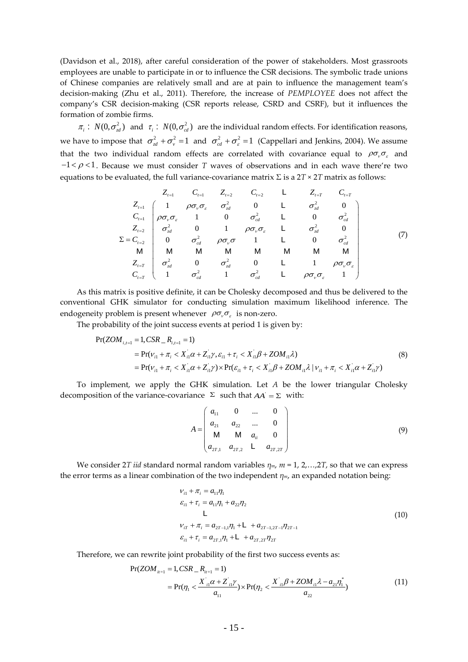(Davidson et al., 2018), after careful consideration of the power of stakeholders. Most grassroots employees are unable to participate in or to influence the CSR decisions. The symbolic trade unions of Chinese companies are relatively small and are at pain to influence the management team's decision-making (Zhu et al., 2011). Therefore, the increase of *PEMPLOYEE* does not affect the company's CSR decision-making (CSR reports release, CSRD and CSRF), but it influences the formation of zombie firms.

 $\pi_i$ :  $N(0, \sigma_{\text{ad}}^2)$  and  $\tau_i$ :  $N(0, \sigma_{\text{ad}}^2)$  are the individual random effects. For identification reasons, we have to impose that  $\sigma_{rd}^2 + \sigma_{v}^2 = 1$  and  $\sigma_{cd}^2 + \sigma_{s}^2 = 1$  (Cappellari and Jenkins, 2004). We assume that the two individual random effects are correlated with covariance equal to  $\rho\sigma_v\sigma_z$  and  $-1 < \rho < 1$ . Because we must consider *T* waves of observations and in each wave there're two equations to be evaluated, the full variance-covariance matrix  $\Sigma$  is a  $2T \times 2T$  matrix as follows:

$$
Z_{t=1} \n\begin{bmatrix}\nZ_{t=1} & C_{t=1} & Z_{t=2} & C_{t=2} & L & Z_{t=T} & C_{t=T} \\
1 & \rho \sigma_{\nu} \sigma_{\varepsilon} & \sigma_{\varepsilon d}^{2} & 0 & L & \sigma_{\varepsilon d}^{2} & 0 \\
\sigma_{\nu} \sigma_{\varepsilon} & 1 & 0 & \sigma_{\varepsilon d}^{2} & L & 0 & \sigma_{\varepsilon d}^{2} \\
Z_{t=2} \n\sigma_{\varepsilon d}^{2} & 0 & 1 & \rho \sigma_{\nu} \sigma_{\varepsilon} & L & \sigma_{\varepsilon d}^{2} & 0 \\
0 & \sigma_{\varepsilon d}^{2} & \rho \sigma_{\nu} \sigma & 1 & L & 0 & \sigma_{\varepsilon d}^{2} \\
M & M & M & M & M & M & M\n\end{bmatrix}
$$
\n
$$
Z_{t=T} \n\begin{bmatrix}\n\sigma_{\varepsilon}^{2} & 0 & \sigma_{\varepsilon d}^{2} & 0 & L & 1 & \rho \sigma_{\nu} \sigma_{\varepsilon} \\
\sigma_{\varepsilon d}^{2} & 0 & \sigma_{\varepsilon d}^{2} & 0 & L & 1 & \rho \sigma_{\nu} \sigma_{\varepsilon} \\
\sigma_{\varepsilon d}^{2} & 0 & \sigma_{\varepsilon d}^{2} & 0 & L & 1 & \rho \sigma_{\nu} \sigma_{\varepsilon} \\
\sigma_{\varepsilon T}^{2} & 1 & \sigma_{\varepsilon d}^{2} & L & \rho \sigma_{\nu} \sigma_{\varepsilon} & 1\n\end{bmatrix}
$$
\n(7)

As this matrix is positive definite, it can be Cholesky decomposed and thus be delivered to the conventional GHK simulator for conducting simulation maximum likelihood inference. The endogeneity problem is present whenever  $\rho \sigma_{\nu} \sigma_{\varepsilon}$  is non-zero.

The probability of the joint success events at period 1 is given by:

$$
Pr(ZOM_{i,t=1} = 1, CSR_{-}R_{i,t=1} = 1)
$$
  
= Pr( $v_{i1} + \pi_i < X_{i1} \alpha + Z_{i1} \gamma, \varepsilon_{i1} + \tau_i < X_{i1} \beta + ZOM_{i1} \lambda$ )  
= Pr( $v_{i1} + \pi_i < X_{i1} \alpha + Z_{i1} \gamma$ ) × Pr( $\varepsilon_{i1} + \tau_i < X_{i1} \beta + ZOM_{i1} \lambda$  |  $v_{i1} + \pi_i < X_{i1} \alpha + Z_{i1} \gamma$ ) (8)

To implement, we apply the GHK simulation. Let *A* be the lower triangular Cholesky decomposition of the variance-covariance  $\Sigma$  such that  $AA = \Sigma$  with:

$$
A = \begin{pmatrix} a_{11} & 0 & \dots & 0 \\ a_{21} & a_{22} & \dots & 0 \\ M & M & a_{ii} & 0 \\ a_{2T,1} & a_{2T,2} & L & a_{2T,2T} \end{pmatrix}
$$
 (9)

We consider 2*T iid* standard normal random variables  $\eta_m$ ,  $m = 1$ , 2,...,2*T*, so that we can express the error terms as a linear combination of the two independent *ηm*, an expanded notation being:

$$
\nu_{i1} + \pi_i = a_{11}\eta_1
$$
  
\n
$$
\varepsilon_{i1} + \tau_i = a_{11}\eta_1 + a_{22}\eta_2
$$
  
\nL  
\n
$$
\nu_{iT} + \pi_i = a_{2T-1,1}\eta_1 + L + a_{2T-1,2T-1}\eta_{2T-1}
$$
  
\n
$$
\varepsilon_{i1} + \tau_i = a_{2T,1}\eta_1 + L + a_{2T,2T}\eta_{2T}
$$
\n(10)

Therefore, we can rewrite joint probability of the first two success events as:

$$
Pr(ZOM_{ii=1} = 1, CSR_{ii=1} = 1)
$$
  
= 
$$
Pr(\eta_1 < \frac{X_{i1}^{\prime}\alpha + Z_{i1}^{\prime}\gamma}{a_{11}}) \times Pr(\eta_2 < \frac{X_{i1}^{\prime}\beta + ZOM_{i1}\lambda - a_{21}\eta_1^*}{a_{22}})
$$
 (11)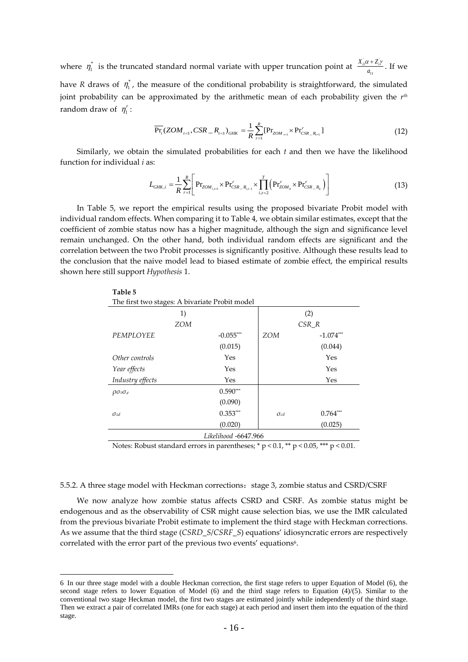where  $\eta_1^*$  is the truncated standard normal variate with upper truncation point at  $\frac{X_n \alpha + Z_n}{a_n}$ 11  $\frac{X_{i1}\alpha + Z_{i}\gamma}{a_{11}}$ . If we

have *R* draws of  $\eta_1^*$ , the measure of the conditional probability is straightforward, the simulated joint probability can be approximated by the arithmetic mean of each probability given the *rth* random draw of  $\eta_1^r$ :

$$
\overline{\Pr_i}(ZOM_{t=1},CSR_{-}R_{t=1})_{GHK} = \frac{1}{R}\sum_{r=1}^{R}[\Pr_{ZOM_{t=1}} \times \Pr_{CSR_{-}R_{t=1}}^{r}]
$$
\n(12)

Similarly, we obtain the simulated probabilities for each *t* and then we have the likelihood function for individual *i* as:

$$
L_{GHK,i} = \frac{1}{R} \sum_{r=1}^{R} \left[ \Pr_{ZOM_{i,r=1}} \times \Pr_{CSR\_R_{i,r=1}}^{r} \times \prod_{i,i=2}^{T} \left( \Pr_{ZOM_{ii}}^{r} \times \Pr_{CSR\_R_{ii}}^{r} \right) \right]
$$
(13)

In Table 5, we report the empirical results using the proposed bivariate Probit model with individual random effects. When comparing it to Table 4, we obtain similar estimates, except that the coefficient of zombie status now has a higher magnitude, although the sign and significance level remain unchanged. On the other hand, both individual random effects are significant and the correlation between the two Probit processes is significantly positive. Although these results lead to the conclusion that the naive model lead to biased estimate of zombie effect, the empirical results shown here still support *Hypothesis* 1.

**Table 5**

| The first two stages: A bivariate Probit model |             |               |             |  |  |  |  |
|------------------------------------------------|-------------|---------------|-------------|--|--|--|--|
| 1)                                             |             |               | (2)         |  |  |  |  |
| <b>ZOM</b>                                     |             | $CSR_R$       |             |  |  |  |  |
| PEMPLOYEE                                      | $-0.055***$ | <b>ZOM</b>    | $-1.074***$ |  |  |  |  |
|                                                | (0.015)     |               | (0.044)     |  |  |  |  |
| Other controls                                 | Yes         |               | Yes         |  |  |  |  |
| Year effects                                   | Yes         |               | Yes         |  |  |  |  |
| Industry effects                               | Yes         |               | Yes         |  |  |  |  |
| $\rho \sigma_v \sigma_{\varepsilon}$           | $0.590***$  |               |             |  |  |  |  |
|                                                | (0.090)     |               |             |  |  |  |  |
| $\sigma$ zd                                    | $0.353***$  | $\sigma_{cd}$ | $0.764***$  |  |  |  |  |
|                                                | (0.020)     |               | (0.025)     |  |  |  |  |
| Likelihood -6647.966                           |             |               |             |  |  |  |  |

Notes: Robust standard errors in parentheses; \*  $p < 0.1$ , \*\*  $p < 0.05$ , \*\*\*  $p < 0.01$ .

## 5.5.2. A three stage model with Heckman corrections: stage 3, zombie status and CSRD/CSRF

We now analyze how zombie status affects CSRD and CSRF. As zombie status might be endogenous and as the observability of CSR might cause selection bias, we use the IMR calculated from the previous bivariate Probit estimate to implement the third stage with Heckman corrections. As we assume that the third stage (*CSRD\_S*/*CSRF\_S*) equations' idiosyncratic errors are respectively correlated with the error part of the previous two events' equations<sup>6</sup>.

 <sup>6</sup> In our three stage model with a double Heckman correction, the first stage refers to upper Equation of Model (6), the second stage refers to lower Equation of Model (6) and the third stage refers to Equation  $(4)/(5)$ . Similar to the conventional two stage Heckman model, the first two stages are estimated jointly while independently of the third stage. Then we extract a pair of correlated IMRs (one for each stage) at each period and insert them into the equation of the third stage.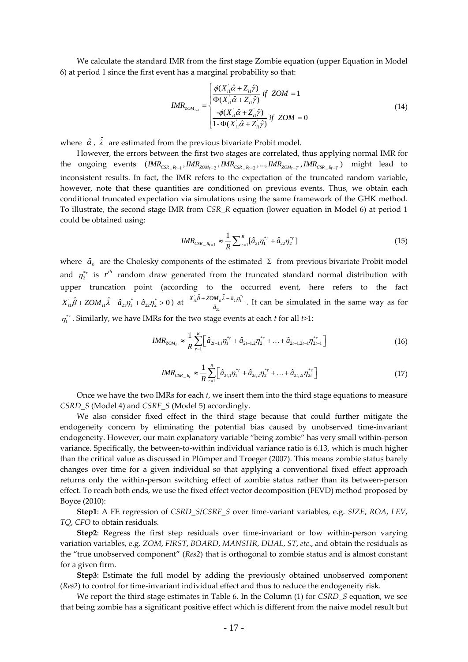We calculate the standard IMR from the first stage Zombie equation (upper Equation in Model 6) at period 1 since the first event has a marginal probability so that:

$$
IMR_{ZOM_{r=1}} = \begin{cases} \frac{\phi(X_{i1} \hat{\alpha} + Z_{i1} \hat{\gamma})}{\Phi(X_{i1} \hat{\alpha} + Z_{i1} \hat{\gamma})} & \text{if } ZOM = 1\\ \frac{-\phi(X_{i1} \hat{\alpha} + Z_{i1} \hat{\gamma})}{1 - \Phi(X_{i1} \hat{\alpha} + Z_{i1} \hat{\gamma})} & \text{if } ZOM = 0 \end{cases}
$$
(14)

where  $\hat{\alpha}$ ,  $\hat{\lambda}$  are estimated from the previous bivariate Probit model.

However, the errors between the first two stages are correlated, thus applying normal IMR for the ongoing events  $IMR_{CSR_R_{R_{t=1}}}$ ,  $IMR_{ZOM_{t=2}}$ ,  $IMR_{CSR_R_{R_{t=2}}}$ , ...,  $IMR_{ZOM_{t=T}}$ ,  $IMR_{CSR_R_{t=T}}$ ) might lead to inconsistent results. In fact, the IMR refers to the expectation of the truncated random variable, however, note that these quantities are conditioned on previous events. Thus, we obtain each conditional truncated expectation via simulations using the same framework of the GHK method. To illustrate, the second stage IMR from *CSR\_R* equation (lower equation in Model 6) at period 1 could be obtained using:

$$
IMR_{CSR_{-}R_{r=1}} \approx \frac{1}{R} \sum_{r=1}^{R} [\hat{a}_{21} \eta_1^{*r} + \hat{a}_{22} \eta_2^{*r}]
$$
\n(15)

where  $\hat{a}_s$  are the Cholesky components of the estimated  $\Sigma$  from previous bivariate Probit model and  $\eta_2^{*r}$  is  $r^{th}$  random draw generated from the truncated standard normal distribution with upper truncation point (according to the occurred event, here refers to the fact  $X_{i1} \hat{\beta} + ZOM_{i1} \hat{\lambda} + \hat{a}_{21} \eta_1^* + \hat{a}_{22} \eta_2^* > 0$  ) at  $\frac{X_{i1} \hat{\beta} + ZOM_{i1} \hat{\lambda} - \hat{a}_{21} \eta_1^*}{\hat{\beta}}$ 22  $\hat{\beta}$  + ZOM  $\hat{\lambda}$  -  $\hat{a}$ ˆ  $\frac{X_n^{\prime}\hat{\beta}+ZOM_n\hat{\lambda}-\hat{a}_{21}\eta_1^{*r}}{\hat{a}_{22}}$ . It can be simulated in the same way as for  $\eta_1^{*_r}$ . Similarly, we have IMRs for the two stage events at each *t* for all *t*>1:

$$
IMR_{ZOM_t} \approx \frac{1}{R} \sum_{r=1}^{R} \left[ \hat{a}_{2t-1,1} \eta_1^{*r} + \hat{a}_{2t-1,2} \eta_2^{*r} + \ldots + \hat{a}_{2t-1,2t-1} \eta_{2t-1}^{*r} \right]
$$
(16)

$$
IMR_{CSR_{-}R_{r}} \approx \frac{1}{R} \sum_{r=1}^{R} \left[ \hat{a}_{2r,1} \eta_1^{*r} + \hat{a}_{2r,2} \eta_2^{*r} + \ldots + \hat{a}_{2r,2r} \eta_{2r}^{*r} \right]
$$
(17)

Once we have the two IMRs for each *t*, we insert them into the third stage equations to measure *CSRD\_S* (Model 4) and *CSRF\_S* (Model 5) accordingly.

We also consider fixed effect in the third stage because that could further mitigate the endogeneity concern by eliminating the potential bias caused by unobserved time-invariant endogeneity. However, our main explanatory variable "being zombie" has very small within-person variance. Specifically, the between-to-within individual variance ratio is 6.13, which is much higher than the critical value as discussed in Plümper and Troeger (2007). This means zombie status barely changes over time for a given individual so that applying a conventional fixed effect approach returns only the within-person switching effect of zombie status rather than its between-person effect. To reach both ends, we use the fixed effect vector decomposition (FEVD) method proposed by Boyce (2010):

**Step1**: A FE regression of *CSRD\_S*/*CSRF\_S* over time-variant variables, e.g. *SIZE*, *ROA*, *LEV*, *TQ*, *CFO* to obtain residuals.

**Step2**: Regress the first step residuals over time-invariant or low within-person varying variation variables, e.g. *ZOM*, *FIRST*, *BOARD*, *MANSHR*, *DUAL*, *ST*, *etc*., and obtain the residuals as the "true unobserved component" (*Res2*) that is orthogonal to zombie status and is almost constant for a given firm.

**Step3**: Estimate the full model by adding the previously obtained unobserved component (*Res2*) to control for time-invariant individual effect and thus to reduce the endogeneity risk.

We report the third stage estimates in Table 6. In the Column (1) for *CSRD\_S* equation, we see that being zombie has a significant positive effect which is different from the naive model result but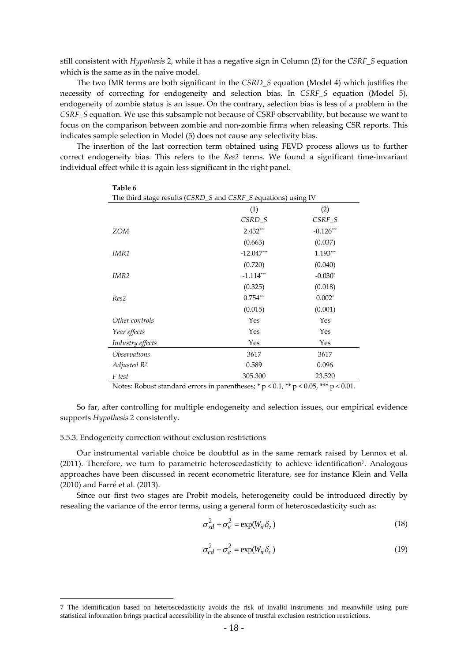still consistent with *Hypothesis* 2, while it has a negative sign in Column (2) for the *CSRF\_S* equation which is the same as in the naive model.

The two IMR terms are both significant in the *CSRD\_S* equation (Model 4) which justifies the necessity of correcting for endogeneity and selection bias. In *CSRF\_S* equation (Model 5), endogeneity of zombie status is an issue. On the contrary, selection bias is less of a problem in the *CSRF\_S* equation. We use this subsample not because of CSRF observability, but because we want to focus on the comparison between zombie and non-zombie firms when releasing CSR reports. This indicates sample selection in Model (5) does not cause any selectivity bias.

The insertion of the last correction term obtained using FEVD process allows us to further correct endogeneity bias. This refers to the *Res2* terms. We found a significant time-invariant individual effect while it is again less significant in the right panel.

| Table 6                    |                                                                |             |  |  |  |  |  |  |  |
|----------------------------|----------------------------------------------------------------|-------------|--|--|--|--|--|--|--|
|                            | The third stage results (CSRD_S and CSRF_S equations) using IV |             |  |  |  |  |  |  |  |
|                            | (1)                                                            | (2)         |  |  |  |  |  |  |  |
|                            | $CSRD_S$                                                       | $CSRF_S$    |  |  |  |  |  |  |  |
| <b>ZOM</b>                 | $2.432***$                                                     | $-0.126***$ |  |  |  |  |  |  |  |
|                            | (0.663)                                                        | (0.037)     |  |  |  |  |  |  |  |
| IMR1                       | $-12.047***$                                                   | 1.193***    |  |  |  |  |  |  |  |
|                            | (0.720)                                                        | (0.040)     |  |  |  |  |  |  |  |
| IMR <sub>2</sub>           | $-1.114***$                                                    | $-0.030*$   |  |  |  |  |  |  |  |
|                            | (0.325)                                                        | (0.018)     |  |  |  |  |  |  |  |
| Res2                       | $0.754***$                                                     | $0.002*$    |  |  |  |  |  |  |  |
|                            | (0.015)                                                        | (0.001)     |  |  |  |  |  |  |  |
| Other controls             | Yes                                                            | Yes         |  |  |  |  |  |  |  |
| Year effects               | Yes                                                            | Yes         |  |  |  |  |  |  |  |
| Industry effects           | Yes                                                            | Yes         |  |  |  |  |  |  |  |
| <i><b>Observations</b></i> | 3617                                                           | 3617        |  |  |  |  |  |  |  |
| Adjusted $R^2$             | 0.589                                                          | 0.096       |  |  |  |  |  |  |  |
| F test                     | 305.300                                                        | 23.520      |  |  |  |  |  |  |  |

Notes: Robust standard errors in parentheses;  $* p < 0.1$ ,  $** p < 0.05$ ,  $*** p < 0.01$ .

So far, after controlling for multiple endogeneity and selection issues, our empirical evidence supports *Hypothesis* 2 consistently.

## 5.5.3. Endogeneity correction without exclusion restrictions

Our instrumental variable choice be doubtful as in the same remark raised by Lennox et al. (2011). Therefore, we turn to parametric heteroscedasticity to achieve identification<sup>7</sup>. Analogous approaches have been discussed in recent econometric literature, see for instance Klein and Vella (2010) and Farré et al. (2013).

Since our first two stages are Probit models, heterogeneity could be introduced directly by resealing the variance of the error terms, using a general form of heteroscedasticity such as:

$$
\sigma_{zd}^2 + \sigma_v^2 = \exp(W_{it}\delta_z)
$$
 (18)

$$
\sigma_{cd}^2 + \sigma_{\varepsilon}^2 = \exp(W_{it}\delta_c)
$$
 (19)

 <sup>7</sup> The identification based on heteroscedasticity avoids the risk of invalid instruments and meanwhile using pure statistical information brings practical accessibility in the absence of trustful exclusion restriction restrictions.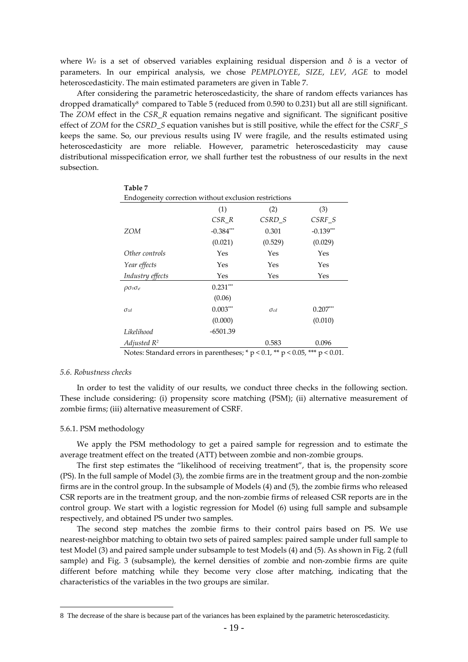where  $W_{ii}$  is a set of observed variables explaining residual dispersion and  $\delta$  is a vector of parameters. In our empirical analysis, we chose *PEMPLOYEE*, *SIZE*, *LEV*, *AGE* to model heteroscedasticity. The main estimated parameters are given in Table 7.

After considering the parametric heteroscedasticity, the share of random effects variances has dropped dramatically<sup>8</sup> compared to Table 5 (reduced from 0.590 to 0.231) but all are still significant. The *ZOM* effect in the *CSR\_R* equation remains negative and significant. The significant positive effect of *ZOM* for the *CSRD\_S* equation vanishes but is still positive, while the effect for the *CSRF\_S* keeps the same. So, our previous results using IV were fragile, and the results estimated using heteroscedasticity are more reliable. However, parametric heteroscedasticity may cause distributional misspecification error, we shall further test the robustness of our results in the next subsection.

| Table 7                                                                            |             |               |             |  |  |  |  |  |
|------------------------------------------------------------------------------------|-------------|---------------|-------------|--|--|--|--|--|
| Endogeneity correction without exclusion restrictions                              |             |               |             |  |  |  |  |  |
|                                                                                    | (1)         | (2)           | (3)         |  |  |  |  |  |
|                                                                                    | CSR R       | CSRD_S        | CSRF_S      |  |  |  |  |  |
| ZOM                                                                                | $-0.384***$ | 0.301         | $-0.139***$ |  |  |  |  |  |
|                                                                                    | (0.021)     | (0.529)       | (0.029)     |  |  |  |  |  |
| Other controls                                                                     | Yes         | Yes           | Yes         |  |  |  |  |  |
| Year effects                                                                       | Yes         | Yes           | Yes         |  |  |  |  |  |
| Industry effects                                                                   | Yes         | Yes           | Yes         |  |  |  |  |  |
| $\rho \sigma_v \sigma_{\varepsilon}$                                               | $0.231***$  |               |             |  |  |  |  |  |
|                                                                                    | (0.06)      |               |             |  |  |  |  |  |
| $\sigma_{zd}$                                                                      | $0.003***$  | $\sigma_{cd}$ | $0.207***$  |  |  |  |  |  |
|                                                                                    | (0.000)     |               | (0.010)     |  |  |  |  |  |
| Likelihood                                                                         | $-6501.39$  |               |             |  |  |  |  |  |
| Adjusted $R^2$                                                                     |             | 0.583         | 0.096       |  |  |  |  |  |
| Notes: Standard errors in parentheses; * $p$ < 0.1, ** $p$ < 0.05, *** $p$ < 0.01. |             |               |             |  |  |  |  |  |

## *5.6. Robustness checks*

In order to test the validity of our results, we conduct three checks in the following section. These include considering: (i) propensity score matching (PSM); (ii) alternative measurement of zombie firms; (iii) alternative measurement of CSRF.

#### 5.6.1. PSM methodology

We apply the PSM methodology to get a paired sample for regression and to estimate the average treatment effect on the treated (ATT) between zombie and non-zombie groups.

The first step estimates the "likelihood of receiving treatment", that is, the propensity score (PS). In the full sample of Model (3), the zombie firms are in the treatment group and the non-zombie firms are in the control group. In the subsample of Models (4) and (5), the zombie firms who released CSR reports are in the treatment group, and the non-zombie firms of released CSR reports are in the control group. We start with a logistic regression for Model (6) using full sample and subsample respectively, and obtained PS under two samples.

The second step matches the zombie firms to their control pairs based on PS. We use nearest-neighbor matching to obtain two sets of paired samples: paired sample under full sample to test Model (3) and paired sample under subsample to test Models (4) and (5). As shown in Fig. 2 (full sample) and Fig. 3 (subsample), the kernel densities of zombie and non-zombie firms are quite different before matching while they become very close after matching, indicating that the characteristics of the variables in the two groups are similar.

 <sup>8</sup> The decrease of the share is because part of the variances has been explained by the parametric heteroscedasticity.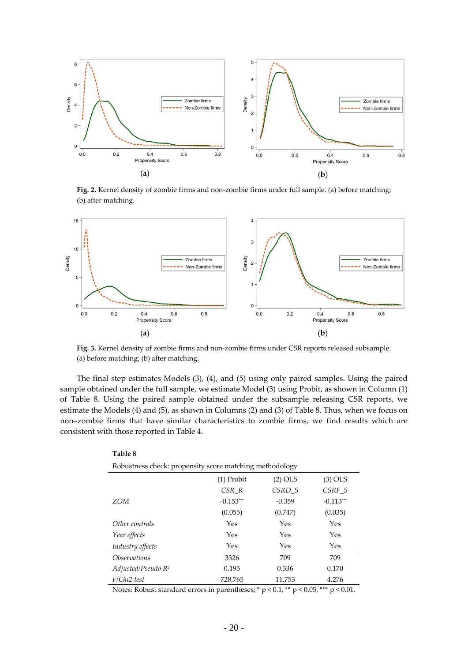

**Fig. 2.** Kernel density of zombie firms and non-zombie firms under full sample. (a) before matching; (b) after matching.



**Fig. 3.** Kernel density of zombie firms and non-zombie firms under CSR reports released subsample. (a) before matching; (b) after matching.

The final step estimates Models (3), (4), and (5) using only paired samples. Using the paired sample obtained under the full sample, we estimate Model (3) using Probit, as shown in Column (1) of Table 8. Using the paired sample obtained under the subsample releasing CSR reports, we estimate the Models (4) and (5), as shown in Columns (2) and (3) of Table 8. Thus, when we focus on non–zombie firms that have similar characteristics to zombie firms, we find results which are consistent with those reported in Table 4.

| Robustness check: propensity score matching methodology |           |             |  |  |  |  |  |  |
|---------------------------------------------------------|-----------|-------------|--|--|--|--|--|--|
| $(1)$ Probit                                            | $(2)$ OLS | $(3)$ OLS   |  |  |  |  |  |  |
| CSR R                                                   | CSRD S    | CSRF S      |  |  |  |  |  |  |
| $-0.153***$                                             | $-0.359$  | $-0.113***$ |  |  |  |  |  |  |
| (0.055)                                                 | (0.747)   | (0.035)     |  |  |  |  |  |  |
| Yes                                                     | Yes       | Yes         |  |  |  |  |  |  |
| Yes                                                     | Yes       | Yes         |  |  |  |  |  |  |
| Yes                                                     | Yes       | Yes         |  |  |  |  |  |  |
| 3326                                                    | 709       | 709         |  |  |  |  |  |  |
| 0.195                                                   | 0.336     | 0.170       |  |  |  |  |  |  |
| 728.765                                                 | 11.753    | 4.276       |  |  |  |  |  |  |
|                                                         |           |             |  |  |  |  |  |  |

Notes: Robust standard errors in parentheses;  $* p < 0.1$ ,  $** p < 0.05$ ,  $*** p < 0.01$ .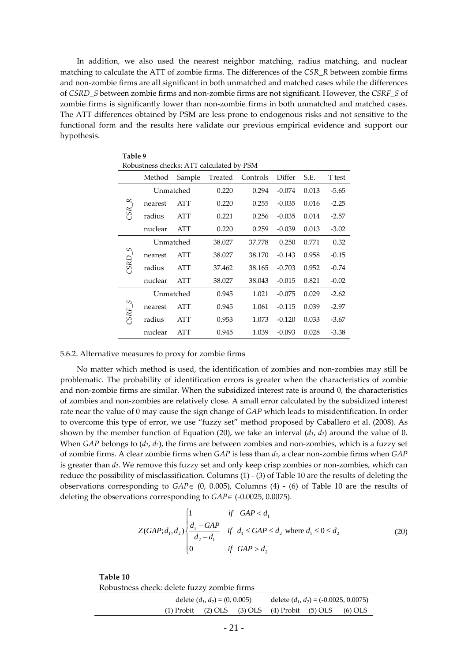In addition, we also used the nearest neighbor matching, radius matching, and nuclear matching to calculate the ATT of zombie firms. The differences of the *CSR\_R* between zombie firms and non-zombie firms are all significant in both unmatched and matched cases while the differences of *CSRD\_S* between zombie firms and non-zombie firms are not significant. However, the *CSRF\_S* of zombie firms is significantly lower than non-zombie firms in both unmatched and matched cases. The ATT differences obtained by PSM are less prone to endogenous risks and not sensitive to the functional form and the results here validate our previous empirical evidence and support our hypothesis.

| Table 9                                                   |         |            |        |        |          |       |         |
|-----------------------------------------------------------|---------|------------|--------|--------|----------|-------|---------|
| Robustness checks: ATT calculated by PSM                  |         |            |        |        |          |       |         |
| Differ<br>Sample<br>Treated<br>Controls<br>S.E.<br>Method |         |            |        |        |          |       |         |
|                                                           |         | Unmatched  | 0.220  | 0.294  | $-0.074$ | 0.013 | $-5.65$ |
| $CSR_R$                                                   | nearest | ATT        | 0.220  | 0.255  | $-0.035$ | 0.016 | $-2.25$ |
|                                                           | radius  | ATT        | 0.221  | 0.256  | $-0.035$ | 0.014 | $-2.57$ |
|                                                           | nuclear | ATT        | 0.220  | 0.259  | $-0.039$ | 0.013 | $-3.02$ |
|                                                           |         | Unmatched  | 38.027 | 37.778 | 0.250    | 0.771 | 0.32    |
| $SSRD_S$                                                  | nearest | ATT        | 38.027 | 38.170 | $-0.143$ | 0.958 | $-0.15$ |
|                                                           | radius  | ATT        | 37.462 | 38.165 | $-0.703$ | 0.952 | $-0.74$ |
|                                                           | nuclear | <b>ATT</b> | 38.027 | 38.043 | $-0.015$ | 0.821 | $-0.02$ |
|                                                           |         | Unmatched  | 0.945  | 1.021  | $-0.075$ | 0.029 | $-2.62$ |
| S                                                         | nearest | ATT        | 0.945  | 1.061  | $-0.115$ | 0.039 | $-2.97$ |
| CSRF                                                      | radius  | ATT        | 0.953  | 1.073  | $-0.120$ | 0.033 | $-3.67$ |
|                                                           | nuclear | <b>ATT</b> | 0.945  | 1.039  | $-0.093$ | 0.028 | $-3.38$ |

## 5.6.2. Alternative measures to proxy for zombie firms

No matter which method is used, the identification of zombies and non-zombies may still be problematic. The probability of identification errors is greater when the characteristics of zombie and non-zombie firms are similar. When the subsidized interest rate is around 0, the characteristics of zombies and non-zombies are relatively close. A small error calculated by the subsidized interest rate near the value of 0 may cause the sign change of *GAP* which leads to misidentification. In order to overcome this type of error, we use "fuzzy set" method proposed by Caballero et al. (2008). As shown by the member function of Equation (20), we take an interval (*d1*, *d2*) around the value of 0. When *GAP* belongs to (*d1*, *d2*), the firms are between zombies and non-zombies, which is a fuzzy set of zombie firms. A clear zombie firms when *GAP* is less than *d1*, a clear non-zombie firms when *GAP* is greater than *d2*. We remove this fuzzy set and only keep crisp zombies or non-zombies, which can reduce the possibility of misclassification. Columns (1) - (3) of Table 10 are the results of deleting the observations corresponding to  $GAP \in (0, 0.005)$ , Columns (4) - (6) of Table 10 are the results of deleting the observations corresponding to *GAP*∈ (-0.0025, 0.0075).

$$
Z(GAP; d_1, d_2) \begin{cases} 1 & \text{if } GAP < d_1 \\ \frac{d_2 - GAP}{d_2 - d_1} & \text{if } d_1 \leq GAP \leq d_2 \text{ where } d_1 \leq 0 \leq d_2 \\ 0 & \text{if } GAP > d_2 \end{cases}
$$
(20)

**Table 10** Robustness check: delete fuzzy zombie firms

| delete $(d_1, d_2) = (0, 0.005)$ |  |  | delete $(d_1, d_2) = (-0.0025, 0.0075)$               |  |  |
|----------------------------------|--|--|-------------------------------------------------------|--|--|
|                                  |  |  | (1) Probit (2) OLS (3) OLS (4) Probit (5) OLS (6) OLS |  |  |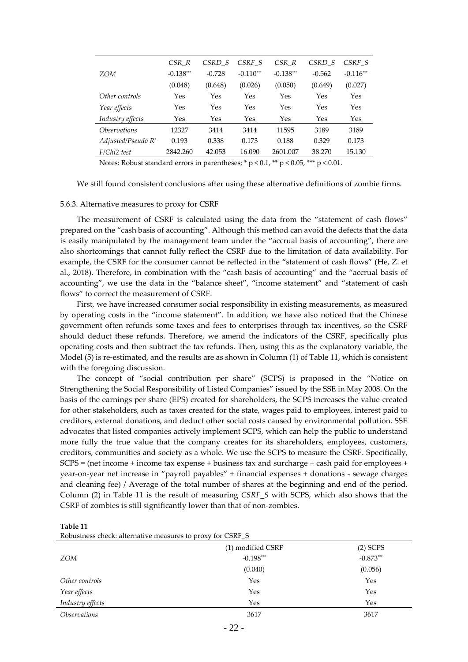|                            | CSR R       | CSRD S   | CSRF S      | $CSR_R$     | CSRD S   | CSRF S      |
|----------------------------|-------------|----------|-------------|-------------|----------|-------------|
| ZOM                        | $-0.138***$ | $-0.728$ | $-0.110***$ | $-0.138***$ | $-0.562$ | $-0.116***$ |
|                            | (0.048)     | (0.648)  | (0.026)     | (0.050)     | (0.649)  | (0.027)     |
| Other controls             | Yes         | Yes      | Yes         | Yes         | Yes      | Yes         |
| Year effects               | Yes         | Yes      | Yes         | Yes         | Yes      | Yes         |
| Industry effects           | Yes         | Yes      | Yes         | Yes         | Yes      | Yes         |
| <i><b>Observations</b></i> | 12327       | 3414     | 3414        | 11595       | 3189     | 3189        |
| Adjusted/Pseudo $R^2$      | 0.193       | 0.338    | 0.173       | 0.188       | 0.329    | 0.173       |
| F/Chi2 test                | 2842.260    | 42.053   | 16.090      | 2601.007    | 38.270   | 15.130      |

Notes: Robust standard errors in parentheses;  $* p < 0.1$ ,  $** p < 0.05$ ,  $** p < 0.01$ .

We still found consistent conclusions after using these alternative definitions of zombie firms.

#### 5.6.3. Alternative measures to proxy for CSRF

The measurement of CSRF is calculated using the data from the "statement of cash flows" prepared on the "cash basis of accounting". Although this method can avoid the defects that the data is easily manipulated by the management team under the "accrual basis of accounting", there are also shortcomings that cannot fully reflect the CSRF due to the limitation of data availability. For example, the CSRF for the consumer cannot be reflected in the "statement of cash flows" (He, Z. et al., 2018). Therefore, in combination with the "cash basis of accounting" and the "accrual basis of accounting", we use the data in the "balance sheet", "income statement" and "statement of cash flows" to correct the measurement of CSRF.

First, we have increased consumer social responsibility in existing measurements, as measured by operating costs in the "income statement". In addition, we have also noticed that the Chinese government often refunds some taxes and fees to enterprises through tax incentives, so the CSRF should deduct these refunds. Therefore, we amend the indicators of the CSRF, specifically plus operating costs and then subtract the tax refunds. Then, using this as the explanatory variable, the Model (5) is re-estimated, and the results are as shown in Column (1) of Table 11, which is consistent with the foregoing discussion.

The concept of "social contribution per share" (SCPS) is proposed in the "Notice on Strengthening the Social Responsibility of Listed Companies" issued by the SSE in May 2008. On the basis of the earnings per share (EPS) created for shareholders, the SCPS increases the value created for other stakeholders, such as taxes created for the state, wages paid to employees, interest paid to creditors, external donations, and deduct other social costs caused by environmental pollution. SSE advocates that listed companies actively implement SCPS, which can help the public to understand more fully the true value that the company creates for its shareholders, employees, customers, creditors, communities and society as a whole. We use the SCPS to measure the CSRF. Specifically, SCPS = (net income + income tax expense + business tax and surcharge + cash paid for employees + year-on-year net increase in "payroll payables" + financial expenses + donations - sewage charges and cleaning fee) / Average of the total number of shares at the beginning and end of the period. Column (2) in Table 11 is the result of measuring *CSRF\_S* with SCPS, which also shows that the CSRF of zombies is still significantly lower than that of non-zombies.

**Table 11**

| Robustness check: alternative measures to proxy for CSRF_S |  |  |  |  |
|------------------------------------------------------------|--|--|--|--|
|                                                            |  |  |  |  |

|                            | (1) modified CSRF | $(2)$ SCPS  |
|----------------------------|-------------------|-------------|
| ZOM                        | $-0.198***$       | $-0.873***$ |
|                            | (0.040)           | (0.056)     |
| Other controls             | Yes               | Yes         |
| Year effects               | Yes               | Yes         |
| Industry effects           | Yes               | Yes         |
| <i><b>Observations</b></i> | 3617              | 3617        |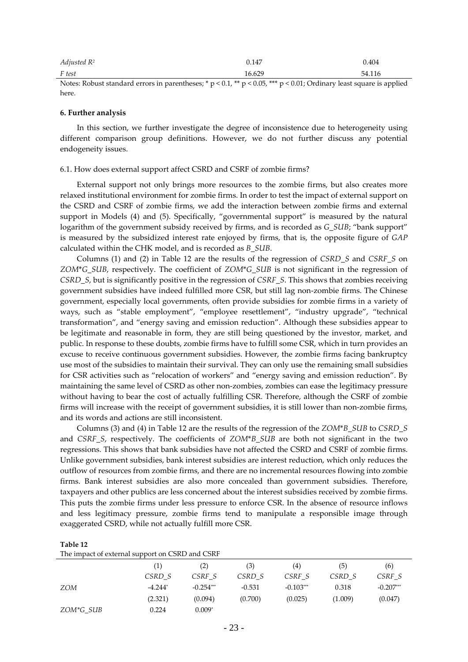| Adjusted $R^2$ | 0.147  | 0.404  |
|----------------|--------|--------|
| F test         | 16.629 | 54.116 |

Notes: Robust standard errors in parentheses; \*  $p < 0.1$ , \*\*  $p < 0.05$ , \*\*\*  $p < 0.01$ ; Ordinary least square is applied here.

#### **6. Further analysis**

In this section, we further investigate the degree of inconsistence due to heterogeneity using different comparison group definitions. However, we do not further discuss any potential endogeneity issues.

#### 6.1. How does external support affect CSRD and CSRF of zombie firms?

External support not only brings more resources to the zombie firms, but also creates more relaxed institutional environment for zombie firms. In order to test the impact of external support on the CSRD and CSRF of zombie firms, we add the interaction between zombie firms and external support in Models (4) and (5). Specifically, "governmental support" is measured by the natural logarithm of the government subsidy received by firms, and is recorded as *G\_SUB*; "bank support" is measured by the subsidized interest rate enjoyed by firms, that is, the opposite figure of *GAP* calculated within the CHK model, and is recorded as *B\_SUB*.

Columns (1) and (2) in Table 12 are the results of the regression of *CSRD\_S* and *CSRF\_S* on *ZOM*\**G\_SUB*, respectively. The coefficient of *ZOM*\**G\_SUB* is not significant in the regression of *CSRD\_S*, but is significantly positive in the regression of *CSRF\_S*. This shows that zombies receiving government subsidies have indeed fulfilled more CSR, but still lag non-zombie firms. The Chinese government, especially local governments, often provide subsidies for zombie firms in a variety of ways, such as "stable employment", "employee resettlement", "industry upgrade", "technical transformation", and "energy saving and emission reduction". Although these subsidies appear to be legitimate and reasonable in form, they are still being questioned by the investor, market, and public. In response to these doubts, zombie firms have to fulfill some CSR, which in turn provides an excuse to receive continuous government subsidies. However, the zombie firms facing bankruptcy use most of the subsidies to maintain their survival. They can only use the remaining small subsidies for CSR activities such as "relocation of workers" and "energy saving and emission reduction". By maintaining the same level of CSRD as other non-zombies, zombies can ease the legitimacy pressure without having to bear the cost of actually fulfilling CSR. Therefore, although the CSRF of zombie firms will increase with the receipt of government subsidies, it is still lower than non-zombie firms, and its words and actions are still inconsistent.

Columns (3) and (4) in Table 12 are the results of the regression of the *ZOM*\**B\_SUB* to *CSRD\_S* and *CSRF\_S*, respectively. The coefficients of *ZOM*\**B\_SUB* are both not significant in the two regressions. This shows that bank subsidies have not affected the CSRD and CSRF of zombie firms. Unlike government subsidies, bank interest subsidies are interest reduction, which only reduces the outflow of resources from zombie firms, and there are no incremental resources flowing into zombie firms. Bank interest subsidies are also more concealed than government subsidies. Therefore, taxpayers and other publics are less concerned about the interest subsidies received by zombie firms. This puts the zombie firms under less pressure to enforce CSR. In the absence of resource inflows and less legitimacy pressure, zombie firms tend to manipulate a responsible image through exaggerated CSRD, while not actually fulfill more CSR.

## **Table 12**

|  |  |  | The impact of external support on CSRD and CSRF |  |
|--|--|--|-------------------------------------------------|--|
|  |  |  |                                                 |  |

|            | (1)       | (2)         | (3)      | (4)         | (5)     | (6)         |
|------------|-----------|-------------|----------|-------------|---------|-------------|
|            | CSRD S    | CSRF S      | CSRD S   | CSRF S      | CSRD S  | CSRF S      |
| <i>ZOM</i> | $-4.244*$ | $-0.254***$ | $-0.531$ | $-0.103***$ | 0.318   | $-0.207***$ |
|            | (2.321)   | (0.094)     | (0.700)  | (0.025)     | (1.009) | (0.047)     |
| ZOM*G SUB  | 0.224     | $0.009*$    |          |             |         |             |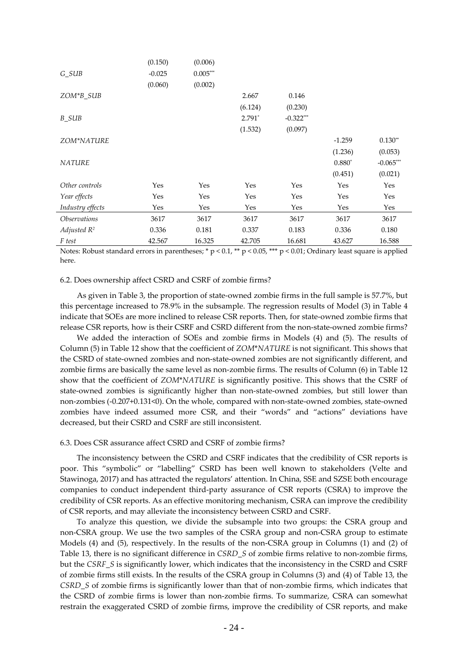|                            | (0.150)  | (0.006)    |          |             |          |             |
|----------------------------|----------|------------|----------|-------------|----------|-------------|
| $G_SUB$                    | $-0.025$ | $0.005***$ |          |             |          |             |
|                            | (0.060)  | (0.002)    |          |             |          |             |
| ZOM*B_SUB                  |          |            | 2.667    | 0.146       |          |             |
|                            |          |            | (6.124)  | (0.230)     |          |             |
| <b>B_SUB</b>               |          |            | $2.791*$ | $-0.322***$ |          |             |
|                            |          |            | (1.532)  | (0.097)     |          |             |
| ZOM*NATURE                 |          |            |          |             | $-1.259$ | $0.130**$   |
|                            |          |            |          |             | (1.236)  | (0.053)     |
| <b>NATURE</b>              |          |            |          |             | $0.880*$ | $-0.065***$ |
|                            |          |            |          |             | (0.451)  | (0.021)     |
| Other controls             | Yes      | Yes        | Yes      | Yes         | Yes      | Yes         |
| Year effects               | Yes      | Yes        | Yes      | Yes         | Yes      | Yes         |
| Industry effects           | Yes      | Yes        | Yes      | Yes         | Yes      | Yes         |
| <i><b>Observations</b></i> | 3617     | 3617       | 3617     | 3617        | 3617     | 3617        |
| Adjusted $R^2$             | 0.336    | 0.181      | 0.337    | 0.183       | 0.336    | 0.180       |
| F test                     | 42.567   | 16.325     | 42.705   | 16.681      | 43.627   | 16.588      |

Notes: Robust standard errors in parentheses; \*  $p < 0.1$ , \*\*  $p < 0.05$ , \*\*\*  $p < 0.01$ ; Ordinary least square is applied here.

## 6.2. Does ownership affect CSRD and CSRF of zombie firms?

As given in Table 3, the proportion of state-owned zombie firms in the full sample is 57.7%, but this percentage increased to 78.9% in the subsample. The regression results of Model (3) in Table 4 indicate that SOEs are more inclined to release CSR reports. Then, for state-owned zombie firms that release CSR reports, how is their CSRF and CSRD different from the non-state-owned zombie firms?

We added the interaction of SOEs and zombie firms in Models (4) and (5). The results of Column (5) in Table 12 show that the coefficient of *ZOM*\**NATURE* is not significant. This shows that the CSRD of state-owned zombies and non-state-owned zombies are not significantly different, and zombie firms are basically the same level as non-zombie firms. The results of Column (6) in Table 12 show that the coefficient of *ZOM*\**NATURE* is significantly positive. This shows that the CSRF of state-owned zombies is significantly higher than non-state-owned zombies, but still lower than non-zombies (-0.207+0.131<0). On the whole, compared with non-state-owned zombies, state-owned zombies have indeed assumed more CSR, and their "words" and "actions" deviations have decreased, but their CSRD and CSRF are still inconsistent.

#### 6.3. Does CSR assurance affect CSRD and CSRF of zombie firms?

The inconsistency between the CSRD and CSRF indicates that the credibility of CSR reports is poor. This "symbolic" or "labelling" CSRD has been well known to stakeholders (Velte and Stawinoga, 2017) and has attracted the regulators' attention. In China, SSE and SZSE both encourage companies to conduct independent third-party assurance of CSR reports (CSRA) to improve the credibility of CSR reports. As an effective monitoring mechanism, CSRA can improve the credibility of CSR reports, and may alleviate the inconsistency between CSRD and CSRF.

To analyze this question, we divide the subsample into two groups: the CSRA group and non-CSRA group. We use the two samples of the CSRA group and non-CSRA group to estimate Models (4) and (5), respectively. In the results of the non-CSRA group in Columns (1) and (2) of Table 13, there is no significant difference in *CSRD\_S* of zombie firms relative to non-zombie firms, but the *CSRF\_S* is significantly lower, which indicates that the inconsistency in the CSRD and CSRF of zombie firms still exists. In the results of the CSRA group in Columns (3) and (4) of Table 13, the *CSRD\_S* of zombie firms is significantly lower than that of non-zombie firms, which indicates that the CSRD of zombie firms is lower than non-zombie firms. To summarize, CSRA can somewhat restrain the exaggerated CSRD of zombie firms, improve the credibility of CSR reports, and make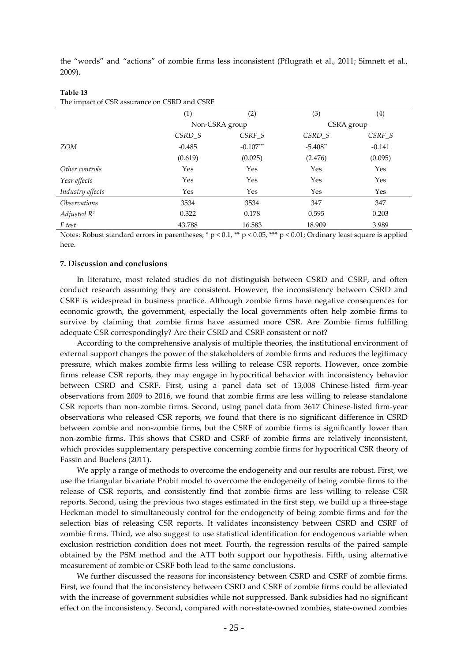the "words" and "actions" of zombie firms less inconsistent (Pflugrath et al., 2011; Simnett et al., 2009).

|                            | (1)      | (2)            | (3)        | (4)      |
|----------------------------|----------|----------------|------------|----------|
|                            |          | Non-CSRA group | CSRA group |          |
|                            | $CSRD_S$ | $CSRF_S$       | CSRD_S     | $CSRF_S$ |
| <b>ZOM</b>                 | $-0.485$ | $-0.107***$    | $-5.408**$ | $-0.141$ |
|                            | (0.619)  | (0.025)        | (2.476)    | (0.095)  |
| Other controls             | Yes      | Yes            | Yes        | Yes      |
| Year effects               | Yes      | Yes            | Yes        | Yes      |
| Industry effects           | Yes      | Yes            | Yes        | Yes      |
| <i><b>Observations</b></i> | 3534     | 3534           | 347        | 347      |
| Adjusted $R^2$             | 0.322    | 0.178          | 0.595      | 0.203    |
| F test                     | 43.788   | 16.583         | 18.909     | 3.989    |

#### **Table 13** The impact of CSR assurance on CSRD and CSRF

Notes: Robust standard errors in parentheses; \* p < 0.1, \*\* p < 0.05, \*\*\* p < 0.01; Ordinary least square is applied here.

## **7. Discussion and conclusions**

In literature, most related studies do not distinguish between CSRD and CSRF, and often conduct research assuming they are consistent. However, the inconsistency between CSRD and CSRF is widespread in business practice. Although zombie firms have negative consequences for economic growth, the government, especially the local governments often help zombie firms to survive by claiming that zombie firms have assumed more CSR. Are Zombie firms fulfilling adequate CSR correspondingly? Are their CSRD and CSRF consistent or not?

According to the comprehensive analysis of multiple theories, the institutional environment of external support changes the power of the stakeholders of zombie firms and reduces the legitimacy pressure, which makes zombie firms less willing to release CSR reports. However, once zombie firms release CSR reports, they may engage in hypocritical behavior with inconsistency behavior between CSRD and CSRF. First, using a panel data set of 13,008 Chinese-listed firm-year observations from 2009 to 2016, we found that zombie firms are less willing to release standalone CSR reports than non-zombie firms. Second, using panel data from 3617 Chinese-listed firm-year observations who released CSR reports, we found that there is no significant difference in CSRD between zombie and non-zombie firms, but the CSRF of zombie firms is significantly lower than non-zombie firms. This shows that CSRD and CSRF of zombie firms are relatively inconsistent, which provides supplementary perspective concerning zombie firms for hypocritical CSR theory of Fassin and Buelens (2011).

We apply a range of methods to overcome the endogeneity and our results are robust. First, we use the triangular bivariate Probit model to overcome the endogeneity of being zombie firms to the release of CSR reports, and consistently find that zombie firms are less willing to release CSR reports. Second, using the previous two stages estimated in the first step, we build up a three-stage Heckman model to simultaneously control for the endogeneity of being zombie firms and for the selection bias of releasing CSR reports. It validates inconsistency between CSRD and CSRF of zombie firms. Third, we also suggest to use statistical identification for endogenous variable when exclusion restriction condition does not meet. Fourth, the regression results of the paired sample obtained by the PSM method and the ATT both support our hypothesis. Fifth, using alternative measurement of zombie or CSRF both lead to the same conclusions.

We further discussed the reasons for inconsistency between CSRD and CSRF of zombie firms. First, we found that the inconsistency between CSRD and CSRF of zombie firms could be alleviated with the increase of government subsidies while not suppressed. Bank subsidies had no significant effect on the inconsistency. Second, compared with non-state-owned zombies, state-owned zombies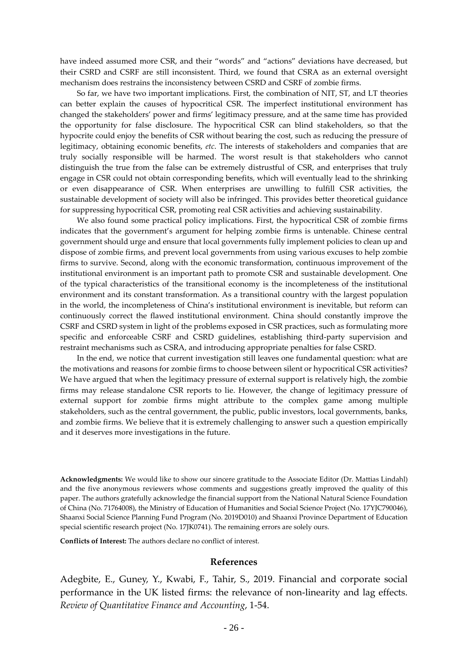have indeed assumed more CSR, and their "words" and "actions" deviations have decreased, but their CSRD and CSRF are still inconsistent. Third, we found that CSRA as an external oversight mechanism does restrains the inconsistency between CSRD and CSRF of zombie firms.

So far, we have two important implications. First, the combination of NIT, ST, and LT theories can better explain the causes of hypocritical CSR. The imperfect institutional environment has changed the stakeholders' power and firms' legitimacy pressure, and at the same time has provided the opportunity for false disclosure. The hypocritical CSR can blind stakeholders, so that the hypocrite could enjoy the benefits of CSR without bearing the cost, such as reducing the pressure of legitimacy, obtaining economic benefits, *etc*. The interests of stakeholders and companies that are truly socially responsible will be harmed. The worst result is that stakeholders who cannot distinguish the true from the false can be extremely distrustful of CSR, and enterprises that truly engage in CSR could not obtain corresponding benefits, which will eventually lead to the shrinking or even disappearance of CSR. When enterprises are unwilling to fulfill CSR activities, the sustainable development of society will also be infringed. This provides better theoretical guidance for suppressing hypocritical CSR, promoting real CSR activities and achieving sustainability.

We also found some practical policy implications. First, the hypocritical CSR of zombie firms indicates that the government's argument for helping zombie firms is untenable. Chinese central government should urge and ensure that local governments fully implement policies to clean up and dispose of zombie firms, and prevent local governments from using various excuses to help zombie firms to survive. Second, along with the economic transformation, continuous improvement of the institutional environment is an important path to promote CSR and sustainable development. One of the typical characteristics of the transitional economy is the incompleteness of the institutional environment and its constant transformation. As a transitional country with the largest population in the world, the incompleteness of China's institutional environment is inevitable, but reform can continuously correct the flawed institutional environment. China should constantly improve the CSRF and CSRD system in light of the problems exposed in CSR practices, such as formulating more specific and enforceable CSRF and CSRD guidelines, establishing third-party supervision and restraint mechanisms such as CSRA, and introducing appropriate penalties for false CSRD.

In the end, we notice that current investigation still leaves one fundamental question: what are the motivations and reasons for zombie firms to choose between silent or hypocritical CSR activities? We have argued that when the legitimacy pressure of external support is relatively high, the zombie firms may release standalone CSR reports to lie. However, the change of legitimacy pressure of external support for zombie firms might attribute to the complex game among multiple stakeholders, such as the central government, the public, public investors, local governments, banks, and zombie firms. We believe that it is extremely challenging to answer such a question empirically and it deserves more investigations in the future.

**Acknowledgments:** We would like to show our sincere gratitude to the Associate Editor (Dr. Mattias Lindahl) and the five anonymous reviewers whose comments and suggestions greatly improved the quality of this paper. The authors gratefully acknowledge the financial support from the National Natural Science Foundation of China (No. 71764008), the Ministry of Education of Humanities and Social Science Project (No. 17YJC790046), Shaanxi Social Science Planning Fund Program (No. 2019D010) and Shaanxi Province Department of Education special scientific research project (No. 17JK0741). The remaining errors are solely ours.

**Conflicts of Interest:** The authors declare no conflict of interest.

## **References**

Adegbite, E., Guney, Y., Kwabi, F., Tahir, S., 2019. Financial and corporate social performance in the UK listed firms: the relevance of non-linearity and lag effects. *Review of Quantitative Finance and Accounting*, 1-54.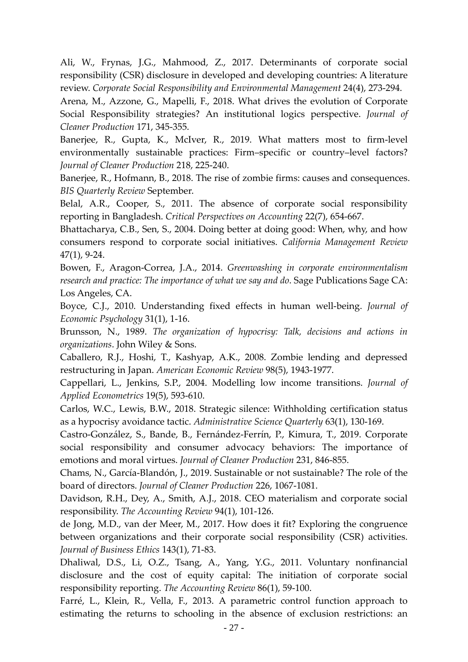Ali, W., Frynas, J.G., Mahmood, Z., 2017. Determinants of corporate social responsibility (CSR) disclosure in developed and developing countries: A literature review. *Corporate Social Responsibility and Environmental Management* 24(4), 273-294.

Arena, M., Azzone, G., Mapelli, F., 2018. What drives the evolution of Corporate Social Responsibility strategies? An institutional logics perspective. *Journal of Cleaner Production* 171, 345-355.

Banerjee, R., Gupta, K., McIver, R., 2019. What matters most to firm-level environmentally sustainable practices: Firm–specific or country–level factors? *Journal of Cleaner Production* 218, 225-240.

Banerjee, R., Hofmann, B., 2018. The rise of zombie firms: causes and consequences. *BIS Quarterly Review* September.

Belal, A.R., Cooper, S., 2011. The absence of corporate social responsibility reporting in Bangladesh. *Critical Perspectives on Accounting* 22(7), 654-667.

Bhattacharya, C.B., Sen, S., 2004. Doing better at doing good: When, why, and how consumers respond to corporate social initiatives. *California Management Review* 47(1), 9-24.

Bowen, F., Aragon-Correa, J.A., 2014. *Greenwashing in corporate environmentalism research and practice: The importance of what we say and do*. Sage Publications Sage CA: Los Angeles, CA.

Boyce, C.J., 2010. Understanding fixed effects in human well-being. *Journal of Economic Psychology* 31(1), 1-16.

Brunsson, N., 1989. *The organization of hypocrisy: Talk, decisions and actions in organizations*. John Wiley & Sons.

Caballero, R.J., Hoshi, T., Kashyap, A.K., 2008. Zombie lending and depressed restructuring in Japan. *American Economic Review* 98(5), 1943-1977.

Cappellari, L., Jenkins, S.P., 2004. Modelling low income transitions. *Journal of Applied Econometrics* 19(5), 593-610.

Carlos, W.C., Lewis, B.W., 2018. Strategic silence: Withholding certification status as a hypocrisy avoidance tactic. *Administrative Science Quarterly* 63(1), 130-169.

Castro-González, S., Bande, B., Fernández-Ferrín, P., Kimura, T., 2019. Corporate social responsibility and consumer advocacy behaviors: The importance of emotions and moral virtues. *Journal of Cleaner Production* 231, 846-855.

Chams, N., García-Blandón, J., 2019. Sustainable or not sustainable? The role of the board of directors. *Journal of Cleaner Production* 226, 1067-1081.

Davidson, R.H., Dey, A., Smith, A.J., 2018. CEO materialism and corporate social responsibility. *The Accounting Review* 94(1), 101-126.

de Jong, M.D., van der Meer, M., 2017. How does it fit? Exploring the congruence between organizations and their corporate social responsibility (CSR) activities. *Journal of Business Ethics* 143(1), 71-83.

Dhaliwal, D.S., Li, O.Z., Tsang, A., Yang, Y.G., 2011. Voluntary nonfinancial disclosure and the cost of equity capital: The initiation of corporate social responsibility reporting. *The Accounting Review* 86(1), 59-100.

Farré, L., Klein, R., Vella, F., 2013. A parametric control function approach to estimating the returns to schooling in the absence of exclusion restrictions: an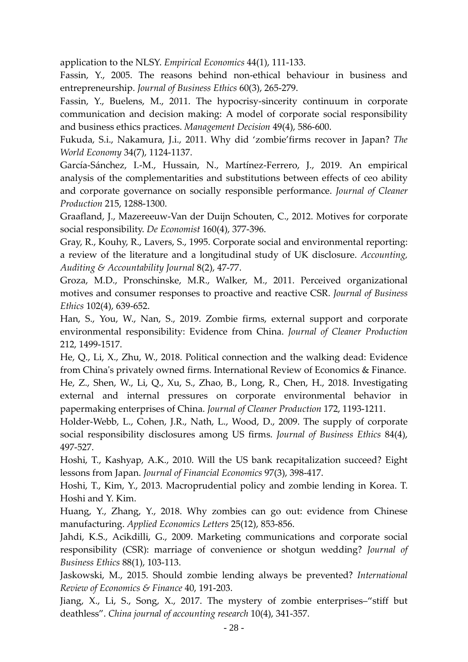application to the NLSY. *Empirical Economics* 44(1), 111-133.

Fassin, Y., 2005. The reasons behind non-ethical behaviour in business and entrepreneurship. *Journal of Business Ethics* 60(3), 265-279.

Fassin, Y., Buelens, M., 2011. The hypocrisy-sincerity continuum in corporate communication and decision making: A model of corporate social responsibility and business ethics practices. *Management Decision* 49(4), 586-600.

Fukuda, S.i., Nakamura, J.i., 2011. Why did 'zombie'firms recover in Japan? *The World Economy* 34(7), 1124-1137.

García-Sánchez, I.-M., Hussain, N., Martínez-Ferrero, J., 2019. An empirical analysis of the complementarities and substitutions between effects of ceo ability and corporate governance on socially responsible performance. *Journal of Cleaner Production* 215, 1288-1300.

Graafland, J., Mazereeuw-Van der Duijn Schouten, C., 2012. Motives for corporate social responsibility. *De Economist* 160(4), 377-396.

Gray, R., Kouhy, R., Lavers, S., 1995. Corporate social and environmental reporting: a review of the literature and a longitudinal study of UK disclosure. *Accounting, Auditing & Accountability Journal* 8(2), 47-77.

Groza, M.D., Pronschinske, M.R., Walker, M., 2011. Perceived organizational motives and consumer responses to proactive and reactive CSR. *Journal of Business Ethics* 102(4), 639-652.

Han, S., You, W., Nan, S., 2019. Zombie firms, external support and corporate environmental responsibility: Evidence from China. *Journal of Cleaner Production*  212, 1499-1517.

He, Q., Li, X., Zhu, W., 2018. Political connection and the walking dead: Evidence from China's privately owned firms. International Review of Economics & Finance. He, Z., Shen, W., Li, Q., Xu, S., Zhao, B., Long, R., Chen, H., 2018. Investigating external and internal pressures on corporate environmental behavior in papermaking enterprises of China. *Journal of Cleaner Production* 172, 1193-1211.

Holder-Webb, L., Cohen, J.R., Nath, L., Wood, D., 2009. The supply of corporate social responsibility disclosures among US firms. *Journal of Business Ethics* 84(4), 497-527.

Hoshi, T., Kashyap, A.K., 2010. Will the US bank recapitalization succeed? Eight lessons from Japan. *Journal of Financial Economics* 97(3), 398-417.

Hoshi, T., Kim, Y., 2013. Macroprudential policy and zombie lending in Korea. T. Hoshi and Y. Kim.

Huang, Y., Zhang, Y., 2018. Why zombies can go out: evidence from Chinese manufacturing. *Applied Economics Letters* 25(12), 853-856.

Jahdi, K.S., Acikdilli, G., 2009. Marketing communications and corporate social responsibility (CSR): marriage of convenience or shotgun wedding? *Journal of Business Ethics* 88(1), 103-113.

Jaskowski, M., 2015. Should zombie lending always be prevented? *International Review of Economics & Finance* 40, 191-203.

Jiang, X., Li, S., Song, X., 2017. The mystery of zombie enterprises–"stiff but deathless". *China journal of accounting research* 10(4), 341-357.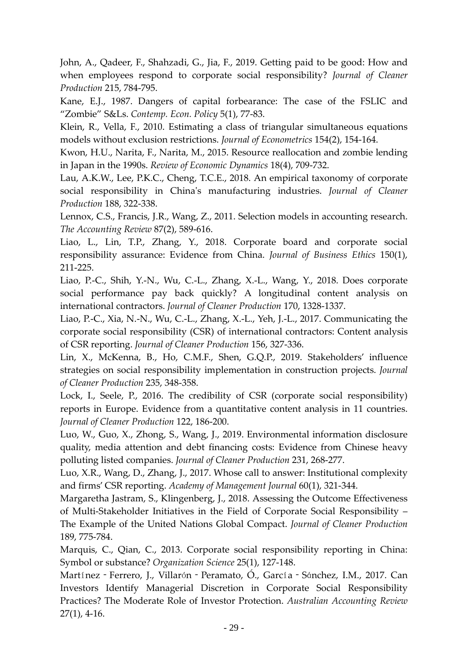John, A., Qadeer, F., Shahzadi, G., Jia, F., 2019. Getting paid to be good: How and when employees respond to corporate social responsibility? *Journal of Cleaner Production* 215, 784-795.

Kane, E.J., 1987. Dangers of capital forbearance: The case of the FSLIC and "Zombie" S&Ls. *Contemp. Econ. Policy* 5(1), 77-83.

Klein, R., Vella, F., 2010. Estimating a class of triangular simultaneous equations models without exclusion restrictions. *Journal of Econometrics* 154(2), 154-164.

Kwon, H.U., Narita, F., Narita, M., 2015. Resource reallocation and zombie lending in Japan in the 1990s. *Review of Economic Dynamics* 18(4), 709-732.

Lau, A.K.W., Lee, P.K.C., Cheng, T.C.E., 2018. An empirical taxonomy of corporate social responsibility in China's manufacturing industries. *Journal of Cleaner Production* 188, 322-338.

Lennox, C.S., Francis, J.R., Wang, Z., 2011. Selection models in accounting research. *The Accounting Review* 87(2), 589-616.

Liao, L., Lin, T.P., Zhang, Y., 2018. Corporate board and corporate social responsibility assurance: Evidence from China. *Journal of Business Ethics* 150(1), 211-225.

Liao, P.-C., Shih, Y.-N., Wu, C.-L., Zhang, X.-L., Wang, Y., 2018. Does corporate social performance pay back quickly? A longitudinal content analysis on international contractors. *Journal of Cleaner Production* 170, 1328-1337.

Liao, P.-C., Xia, N.-N., Wu, C.-L., Zhang, X.-L., Yeh, J.-L., 2017. Communicating the corporate social responsibility (CSR) of international contractors: Content analysis of CSR reporting. *Journal of Cleaner Production* 156, 327-336.

Lin, X., McKenna, B., Ho, C.M.F., Shen, G.Q.P., 2019. Stakeholders' influence strategies on social responsibility implementation in construction projects. *Journal of Cleaner Production* 235, 348-358.

Lock, I., Seele, P., 2016. The credibility of CSR (corporate social responsibility) reports in Europe. Evidence from a quantitative content analysis in 11 countries. *Journal of Cleaner Production* 122, 186-200.

Luo, W., Guo, X., Zhong, S., Wang, J., 2019. Environmental information disclosure quality, media attention and debt financing costs: Evidence from Chinese heavy polluting listed companies. *Journal of Cleaner Production* 231, 268-277.

Luo, X.R., Wang, D., Zhang, J., 2017. Whose call to answer: Institutional complexity and firms' CSR reporting. *Academy of Management Journal* 60(1), 321-344.

Margaretha Jastram, S., Klingenberg, J., 2018. Assessing the Outcome Effectiveness of Multi-Stakeholder Initiatives in the Field of Corporate Social Responsibility – The Example of the United Nations Global Compact. *Journal of Cleaner Production* 189, 775-784.

Marquis, C., Qian, C., 2013. Corporate social responsibility reporting in China: Symbol or substance? *Organization Science* 25(1), 127-148.

Martínez - Ferrero, J., Villarón - Peramato, O., García - Sánchez, I.M., 2017. Can Investors Identify Managerial Discretion in Corporate Social Responsibility Practices? The Moderate Role of Investor Protection. *Australian Accounting Review* 27(1), 4-16.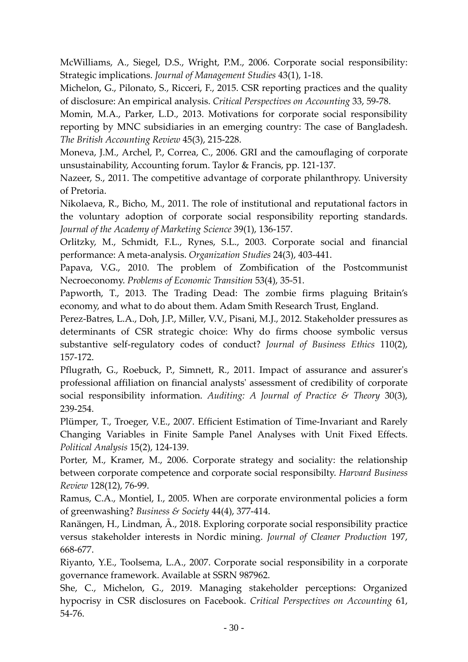McWilliams, A., Siegel, D.S., Wright, P.M., 2006. Corporate social responsibility: Strategic implications. *Journal of Management Studies* 43(1), 1-18.

Michelon, G., Pilonato, S., Ricceri, F., 2015. CSR reporting practices and the quality of disclosure: An empirical analysis. *Critical Perspectives on Accounting* 33, 59-78.

Momin, M.A., Parker, L.D., 2013. Motivations for corporate social responsibility reporting by MNC subsidiaries in an emerging country: The case of Bangladesh. *The British Accounting Review* 45(3), 215-228.

Moneva, J.M., Archel, P., Correa, C., 2006. GRI and the camouflaging of corporate unsustainability, Accounting forum. Taylor & Francis, pp. 121-137.

Nazeer, S., 2011. The competitive advantage of corporate philanthropy. University of Pretoria.

Nikolaeva, R., Bicho, M., 2011. The role of institutional and reputational factors in the voluntary adoption of corporate social responsibility reporting standards. *Journal of the Academy of Marketing Science* 39(1), 136-157.

Orlitzky, M., Schmidt, F.L., Rynes, S.L., 2003. Corporate social and financial performance: A meta-analysis. *Organization Studies* 24(3), 403-441.

Papava, V.G., 2010. The problem of Zombification of the Postcommunist Necroeconomy. *Problems of Economic Transition* 53(4), 35-51.

Papworth, T., 2013. The Trading Dead: The zombie firms plaguing Britain's economy, and what to do about them. Adam Smith Research Trust, England.

Perez-Batres, L.A., Doh, J.P., Miller, V.V., Pisani, M.J., 2012. Stakeholder pressures as determinants of CSR strategic choice: Why do firms choose symbolic versus substantive self-regulatory codes of conduct? *Journal of Business Ethics* 110(2), 157-172.

Pflugrath, G., Roebuck, P., Simnett, R., 2011. Impact of assurance and assurer's professional affiliation on financial analysts' assessment of credibility of corporate social responsibility information. *Auditing: A Journal of Practice & Theory* 30(3), 239-254.

Plümper, T., Troeger, V.E., 2007. Efficient Estimation of Time-Invariant and Rarely Changing Variables in Finite Sample Panel Analyses with Unit Fixed Effects. *Political Analysis* 15(2), 124-139.

Porter, M., Kramer, M., 2006. Corporate strategy and sociality: the relationship between corporate competence and corporate social responsibilty. *Harvard Business Review* 128(12), 76-99.

Ramus, C.A., Montiel, I., 2005. When are corporate environmental policies a form of greenwashing? *Business & Society* 44(4), 377-414.

Ranängen, H., Lindman, Å., 2018. Exploring corporate social responsibility practice versus stakeholder interests in Nordic mining. *Journal of Cleaner Production* 197, 668-677.

Riyanto, Y.E., Toolsema, L.A., 2007. Corporate social responsibility in a corporate governance framework. Available at SSRN 987962.

She, C., Michelon, G., 2019. Managing stakeholder perceptions: Organized hypocrisy in CSR disclosures on Facebook. *Critical Perspectives on Accounting* 61, 54-76.